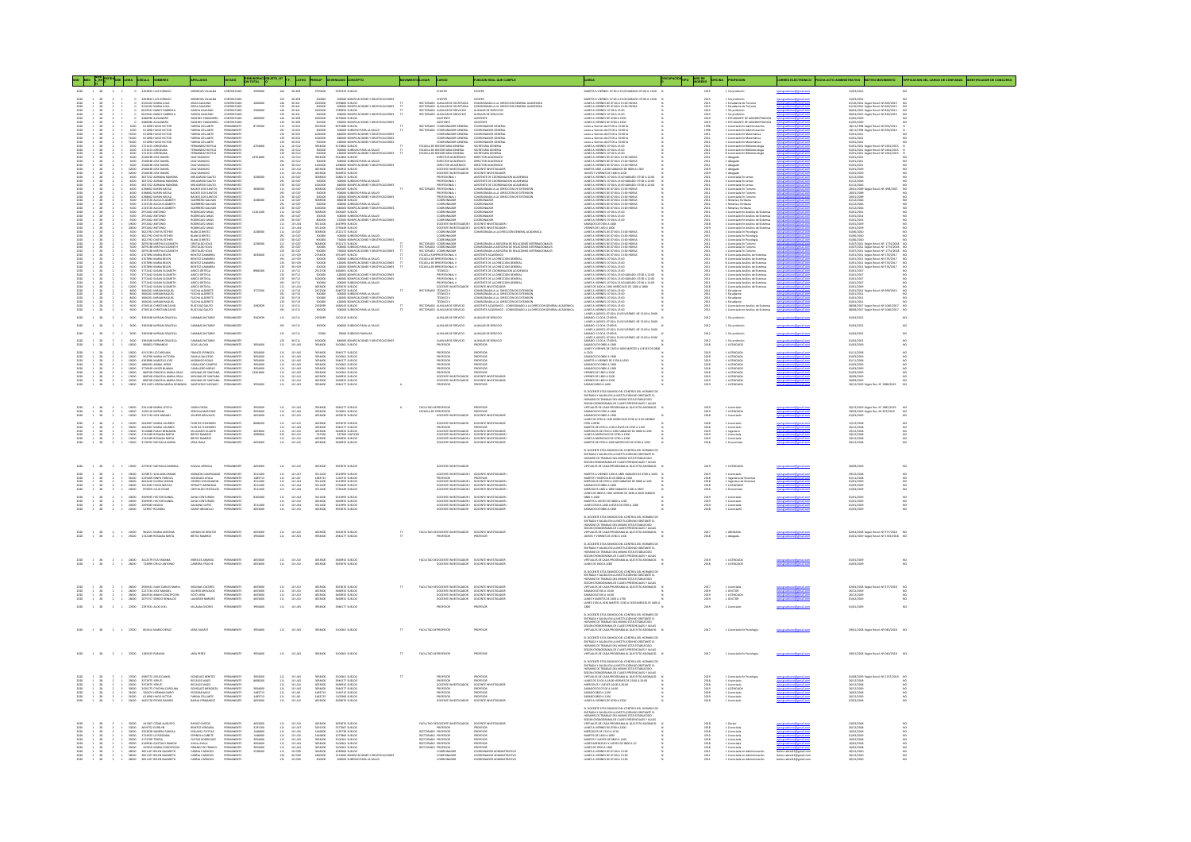|                                                                                                                                                                                                                                                                                                                                                                                               |                                                           | AND MES LEN D OCE LINEA CEDULA NOMBRES                                                                                                                                                                                                                                                                                                                        | APELLIDOS                                                                                                                                                                                                                                                                                                                                                                                                                   | ESTADO REMUNERACIO                                                                                                                                                                               |                                                                                                           | F.F. CATEG PRESUP DEVENGADO                                                                                                                                                                                                                                                                                                                                                                                                                                                                    |                                                                                                                                                                                                        |                                                                                                                                                                                             | LUGAR CARGO                                                                                                                                                                                                                          |                                                                                                                                                                                                                                                                 |                                                                                                                                                                                                                                                                                                                                                                                                                                         | DISCAPACIDA TIPO INGRESO OFICINA PROFESION |                                                                              |                                                                                                                                                                                                                                                                                                                                                                                                                                                                                                                                                                             |                                                                                                                                                                                                                                      |                                                                                                                                                                                                                                                   |                      |  |
|-----------------------------------------------------------------------------------------------------------------------------------------------------------------------------------------------------------------------------------------------------------------------------------------------------------------------------------------------------------------------------------------------|-----------------------------------------------------------|---------------------------------------------------------------------------------------------------------------------------------------------------------------------------------------------------------------------------------------------------------------------------------------------------------------------------------------------------------------|-----------------------------------------------------------------------------------------------------------------------------------------------------------------------------------------------------------------------------------------------------------------------------------------------------------------------------------------------------------------------------------------------------------------------------|--------------------------------------------------------------------------------------------------------------------------------------------------------------------------------------------------|-----------------------------------------------------------------------------------------------------------|------------------------------------------------------------------------------------------------------------------------------------------------------------------------------------------------------------------------------------------------------------------------------------------------------------------------------------------------------------------------------------------------------------------------------------------------------------------------------------------------|--------------------------------------------------------------------------------------------------------------------------------------------------------------------------------------------------------|---------------------------------------------------------------------------------------------------------------------------------------------------------------------------------------------|--------------------------------------------------------------------------------------------------------------------------------------------------------------------------------------------------------------------------------------|-----------------------------------------------------------------------------------------------------------------------------------------------------------------------------------------------------------------------------------------------------------------|-----------------------------------------------------------------------------------------------------------------------------------------------------------------------------------------------------------------------------------------------------------------------------------------------------------------------------------------------------------------------------------------------------------------------------------------|--------------------------------------------|------------------------------------------------------------------------------|-----------------------------------------------------------------------------------------------------------------------------------------------------------------------------------------------------------------------------------------------------------------------------------------------------------------------------------------------------------------------------------------------------------------------------------------------------------------------------------------------------------------------------------------------------------------------------|--------------------------------------------------------------------------------------------------------------------------------------------------------------------------------------------------------------------------------------|---------------------------------------------------------------------------------------------------------------------------------------------------------------------------------------------------------------------------------------------------|----------------------|--|
| 2020                                                                                                                                                                                                                                                                                                                                                                                          |                                                           | $1 \quad 28 \qquad \quad 2 \quad \quad 1 \qquad \quad 6 \quad \quad 3203832 \; \text{LUS HONOO}$                                                                                                                                                                                                                                                              | MENDOZA VILLALBA                                                                                                                                                                                                                                                                                                                                                                                                            | CONTRATADO                                                                                                                                                                                       | 2052000                                                                                                   | 144 30.978                                                                                                                                                                                                                                                                                                                                                                                                                                                                                     | 2750000                                                                                                                                                                                                | 2353333 5UELDO                                                                                                                                                                              | 010558                                                                                                                                                                                                                               | <b>OIDER</b>                                                                                                                                                                                                                                                    | MARTES A VIERNES: 07:00 A 13:00 SABADO: 07:00 A 13:00 N                                                                                                                                                                                                                                                                                                                                                                                 |                                            | 2015                                                                         | 1 Sin profesión                                                                                                                                                                                                                                                                                                                                                                                                                                                                                                                                                             |                                                                                                                                                                                                                                      | 15/03/2012                                                                                                                                                                                                                                        |                      |  |
| 2020<br>2020<br>$\begin{smallmatrix}1&&28\\&1&&28\end{smallmatrix}$                                                                                                                                                                                                                                                                                                                           | $\frac{2}{2} - \frac{1}{4}$                               | 0 3203832 LUS HORACIO                                                                                                                                                                                                                                                                                                                                         | MENDOZA VILLALBA<br>MEZA GALEANO                                                                                                                                                                                                                                                                                                                                                                                            | CONTRATADO                                                                                                                                                                                       |                                                                                                           | $\begin{array}{ccc} 133 & & 30 \ 304 & & \\ 144 & & 30 \ 34 \end{array}$                                                                                                                                                                                                                                                                                                                                                                                                                       |                                                                                                                                                                                                        | 200000 BONIFICACIONES Y GRATIFICACIONES                                                                                                                                                     | $\begin{array}{c} \text{OIOFER} \\ \text{RICTORADO} \begin{array}{l} \text{OIOFER} \\ \text{MIOI I R Q C R C R T A R R A} \end{array} \end{array}$                                                                                   | CHOFER<br>COMISIONADA A LA DIRECCIÓN GENERAL ACADEMICA                                                                                                                                                                                                          | $\begin{array}{lll} \text{MARTIS A MERMS: } & 67:00 \text{ A } 13:00 \text{ SAADO: } 07:00 \text{ A } 12:00 & \text{N} \\ \text{LUMIS A MERMS DE 07:00 A 13:00 HORAS} & & & \text{N} \end{array}$                                                                                                                                                                                                                                       |                                            | $\frac{2015}{2015}$                                                          | 1 Sin profesión<br>1 Estudiante de Turismo                                                                                                                                                                                                                                                                                                                                                                                                                                                                                                                                  |                                                                                                                                                                                                                                      |                                                                                                                                                                                                                                                   |                      |  |
|                                                                                                                                                                                                                                                                                                                                                                                               |                                                           |                                                                                                                                                                                                                                                                                                                                                               |                                                                                                                                                                                                                                                                                                                                                                                                                             |                                                                                                                                                                                                  | 2600000                                                                                                   |                                                                                                                                                                                                                                                                                                                                                                                                                                                                                                |                                                                                                                                                                                                        |                                                                                                                                                                                             |                                                                                                                                                                                                                                      |                                                                                                                                                                                                                                                                 |                                                                                                                                                                                                                                                                                                                                                                                                                                         |                                            |                                                                              |                                                                                                                                                                                                                                                                                                                                                                                                                                                                                                                                                                             |                                                                                                                                                                                                                                      | 15/03/2012<br>01/10/2012 Según Resol. Nº 663/2015                                                                                                                                                                                                 |                      |  |
|                                                                                                                                                                                                                                                                                                                                                                                               |                                                           | <b>MARK MARK JULIA</b><br>6019341 NANCY GABRIEL<br>6019341 NANCY GABRIEL                                                                                                                                                                                                                                                                                      | MEZA GALEANO<br>GARCIA GALEANO<br>GARCIA GALEANO                                                                                                                                                                                                                                                                                                                                                                            | CONTRATADO                                                                                                                                                                                       | 2500000                                                                                                   |                                                                                                                                                                                                                                                                                                                                                                                                                                                                                                | $\begin{array}{r} 400000 \\ 2200000 \\ 300000 \end{array}$                                                                                                                                             | 200000 BORIFICACIONES Y GRATIFICACIONES<br>1999800 BONIFICACIONES Y GRATIFICACIONES<br>1799900 BONIFICACIONES Y GRATIFICACIONES<br>700000 BONIFICACIONES Y GRATIFICACIONES                  |                                                                                                                                                                                                                                      |                                                                                                                                                                                                                                                                 | LUMES A VIERNES DE 07:00 A 13:00 HORAS<br>LUMES A VIERNES: 07:00 A 13:00 HORAS<br>LUMES A VIERNES: 07:00 A 13:00                                                                                                                                                                                                                                                                                                                        |                                            | 2015<br>2015<br>2015                                                         |                                                                                                                                                                                                                                                                                                                                                                                                                                                                                                                                                                             | rocar rocuramental com<br>rocar rócura (lamal com<br>rocar rócura (lamal com<br>rocar rócura (lamal com<br>rocar rócura (lamal com                                                                                                   | 04/10/2012 Según Resol. Nº 663/2015<br>06/04/2015 Según Resol. Nº 663/2015<br>06/04/2015 Según Resol. Nº 826/2015                                                                                                                                 |                      |  |
|                                                                                                                                                                                                                                                                                                                                                                                               |                                                           |                                                                                                                                                                                                                                                                                                                                                               |                                                                                                                                                                                                                                                                                                                                                                                                                             |                                                                                                                                                                                                  | 2050000                                                                                                   |                                                                                                                                                                                                                                                                                                                                                                                                                                                                                                |                                                                                                                                                                                                        |                                                                                                                                                                                             |                                                                                                                                                                                                                                      |                                                                                                                                                                                                                                                                 |                                                                                                                                                                                                                                                                                                                                                                                                                                         |                                            |                                                                              |                                                                                                                                                                                                                                                                                                                                                                                                                                                                                                                                                                             |                                                                                                                                                                                                                                      |                                                                                                                                                                                                                                                   |                      |  |
| $\begin{array}{cccc} & 1 & 23 \\ 1 & 23 & \\ 1 & 23 & \\ 1 & 23 & \\ 1 & 23 & \\ 1 & 23 & \\ \end{array}$                                                                                                                                                                                                                                                                                     |                                                           |                                                                                                                                                                                                                                                                                                                                                               |                                                                                                                                                                                                                                                                                                                                                                                                                             | CONTRATADO<br>CONTRATADO<br>FERMANENTE                                                                                                                                                           | 8719500                                                                                                   |                                                                                                                                                                                                                                                                                                                                                                                                                                                                                                |                                                                                                                                                                                                        |                                                                                                                                                                                             |                                                                                                                                                                                                                                      |                                                                                                                                                                                                                                                                 |                                                                                                                                                                                                                                                                                                                                                                                                                                         |                                            |                                                                              |                                                                                                                                                                                                                                                                                                                                                                                                                                                                                                                                                                             | ecouradoune flemal com<br>spougradoune (ligmal com<br>spousradoune flemal com                                                                                                                                                        |                                                                                                                                                                                                                                                   |                      |  |
|                                                                                                                                                                                                                                                                                                                                                                                               |                                                           |                                                                                                                                                                                                                                                                                                                                                               |                                                                                                                                                                                                                                                                                                                                                                                                                             | PERMANENTE<br>PERMANENTE<br>PERMANENTE<br>PERMANENTE                                                                                                                                             |                                                                                                           |                                                                                                                                                                                                                                                                                                                                                                                                                                                                                                |                                                                                                                                                                                                        |                                                                                                                                                                                             |                                                                                                                                                                                                                                      |                                                                                                                                                                                                                                                                 |                                                                                                                                                                                                                                                                                                                                                                                                                                         |                                            |                                                                              |                                                                                                                                                                                                                                                                                                                                                                                                                                                                                                                                                                             |                                                                                                                                                                                                                                      |                                                                                                                                                                                                                                                   |                      |  |
|                                                                                                                                                                                                                                                                                                                                                                                               |                                                           |                                                                                                                                                                                                                                                                                                                                                               |                                                                                                                                                                                                                                                                                                                                                                                                                             |                                                                                                                                                                                                  |                                                                                                           |                                                                                                                                                                                                                                                                                                                                                                                                                                                                                                |                                                                                                                                                                                                        |                                                                                                                                                                                             |                                                                                                                                                                                                                                      |                                                                                                                                                                                                                                                                 |                                                                                                                                                                                                                                                                                                                                                                                                                                         |                                            |                                                                              |                                                                                                                                                                                                                                                                                                                                                                                                                                                                                                                                                                             |                                                                                                                                                                                                                                      | 06/04/2015 Según Resal. Nº 836/3015<br>01/05/2019<br>01/05/2019 Según Resal. Nº 656/3014<br>18/11/1994 Según Resal. Nº 656/3014<br>01/01/2011<br>01/01/2011<br>01/01/2011                                                                         |                      |  |
|                                                                                                                                                                                                                                                                                                                                                                                               |                                                           |                                                                                                                                                                                                                                                                                                                                                               |                                                                                                                                                                                                                                                                                                                                                                                                                             |                                                                                                                                                                                                  | 4754600                                                                                                   |                                                                                                                                                                                                                                                                                                                                                                                                                                                                                                |                                                                                                                                                                                                        |                                                                                                                                                                                             |                                                                                                                                                                                                                                      |                                                                                                                                                                                                                                                                 |                                                                                                                                                                                                                                                                                                                                                                                                                                         |                                            |                                                                              |                                                                                                                                                                                                                                                                                                                                                                                                                                                                                                                                                                             | econtricum d'estat<br>econtricum d'estat com<br>econtricum d'estat com<br>econtricum d'estat com                                                                                                                                     |                                                                                                                                                                                                                                                   |                      |  |
|                                                                                                                                                                                                                                                                                                                                                                                               |                                                           |                                                                                                                                                                                                                                                                                                                                                               | GARCIA GALEANO<br>SANOREZ CHAMORRO<br>FARSINA COLLIANTE<br>FARSINA COLLIANTE<br>FARSINA COLLIANTE<br>FARSINA COLLIANTE<br>FARSINA COLLIANTE<br>FRISINAIDEZ ROTTLA<br>FRISINAIDEZ ROTTLA<br>FRISINAIDEZ ROTTLA<br>CALE SAMUZIO<br>CALE SAMUZIO                                                                                                                                                                               | FERMANENTE<br>FERMANENTE<br>FERMANENTE<br>FERMANENTE<br>FERMANENTE                                                                                                                               |                                                                                                           | ar de la carteria de la carteria de la carteria de la carteria de la carteria de la carteria de la carteria de<br>A carteria de la carteria de la carteria de la carteria de la carteria de la carteria de la carteria de la car<br>                                                                                                                                                                                                                                                           | $\begin{array}{r} 2500000 \\ 350000 \\ 5018500 \\ 1000000 \\ 1000000 \\ 500000 \\ 500000 \\ 500000 \\ 500000 \\ 3054600 \\ 300000 \\ 300000 \\ 300000 \\ 1200000 \\ 1200000 \\ 4053600 \\ \end{array}$ |                                                                                                                                                                                             | <b>SECTORAGO CONTINUOUS GENERAL CONTINUOUS CANADA CONTINUOUS GENERAL CONTINUOUS GENERAL CONTINUOUS CANADA CONTINUOUS CANADA CONTINUOUS CANADA CONTINUOUS CANADA CONTINUOUS CANADA CONTINUOUS CANADA CONTINUOUS CANADA CONTINUOUS</b> | CODENADOR GINERAL<br>CODENADOR GINERAL<br>CODENADOR GINERAL<br>CODENADOR GINERAL<br>SCETTARA GINERAL<br>SCETTARA GINERAL<br>SCETTARA GINERAL<br>SCETTARA GINERAL<br>DECTOR ACADÍNICO<br>DECTOR ACADÍNICO<br>DOCINTE INSENSIONO DO CHINERADOR<br>DOCINTE INSENSI | $\begin{split} &\text{LUMAR} & \text{A V AMRSE} \leq 29,000,1400 \\ &\text{LUMAR} & \text{A V AMRSE} \leq 25 \times 900,14100 \\ &\text{MUMAR} & \text{A V AMRSE} \leq 5 \times 900,14100 \\ &\text{LUMAR} & \text{A V AMRSE} \leq 5 \times 900 \\ &\text{LumAR} & \text{A VPMRE} \leq 92 \times 900 \\ &\text{LumAR} & \text{A VPMER} \leq 92 \times 900 \\ &\text{LumAR} & \text{A VMPER} \$                                          |                                            | 2019<br>1996<br>1996<br>1996<br>1991<br>2011<br>2011<br>2011<br>2011<br>2011 | 1 Fondario de Tucino<br>1 Fondario de Tucino<br>1 Fondario de Tucino<br>1 Fondario de Tucino<br>1 Fondario de Tucino<br>1 Fondario de Tucino<br>1 Fondario de Adelandina<br>1 Fondario de Adelandina<br>1 Fondario de Adelandina<br>1 Fondario                                                                                                                                                                                                                                                                                                                              | epperatricus e divasi com<br>esperatricus e divasi com<br>epperatricus e divasi com<br>epperatricus e divasi com<br>epperatricus e divasi com<br>epperatricus e divasi com<br>epperatricus e divasi com                              | VAVI/2011 Según Resol. Nº 1661/2015<br>01/01/2011 Según Resol. Nº 1661/2015<br>01/01/2011 Según Resol. Nº 1661/2015<br>01/01/2011                                                                                                                 |                      |  |
|                                                                                                                                                                                                                                                                                                                                                                                               |                                                           |                                                                                                                                                                                                                                                                                                                                                               |                                                                                                                                                                                                                                                                                                                                                                                                                             |                                                                                                                                                                                                  | 14761800                                                                                                  |                                                                                                                                                                                                                                                                                                                                                                                                                                                                                                |                                                                                                                                                                                                        |                                                                                                                                                                                             |                                                                                                                                                                                                                                      |                                                                                                                                                                                                                                                                 |                                                                                                                                                                                                                                                                                                                                                                                                                                         |                                            |                                                                              |                                                                                                                                                                                                                                                                                                                                                                                                                                                                                                                                                                             |                                                                                                                                                                                                                                      |                                                                                                                                                                                                                                                   |                      |  |
|                                                                                                                                                                                                                                                                                                                                                                                               |                                                           |                                                                                                                                                                                                                                                                                                                                                               | DIAZ SAMUDIO<br>DIAZ SAMUDIO<br>DIAZ SAMUDIO                                                                                                                                                                                                                                                                                                                                                                                | PERMANENTE                                                                                                                                                                                       |                                                                                                           |                                                                                                                                                                                                                                                                                                                                                                                                                                                                                                |                                                                                                                                                                                                        | 2321864 SUELDO<br>200000 SUNSIDIO PARA LA SALID<br>1000000 BONIFICADONES Y GRATIFICADONES<br>2466932 SUELDO<br>240673 SUELDO<br>20000 SUESDIO PARA LA SALID<br>200000 SUESDIO PARA LA SALID |                                                                                                                                                                                                                                      |                                                                                                                                                                                                                                                                 |                                                                                                                                                                                                                                                                                                                                                                                                                                         |                                            |                                                                              |                                                                                                                                                                                                                                                                                                                                                                                                                                                                                                                                                                             |                                                                                                                                                                                                                                      | 01/01/2011<br>01/01/2011                                                                                                                                                                                                                          |                      |  |
|                                                                                                                                                                                                                                                                                                                                                                                               |                                                           |                                                                                                                                                                                                                                                                                                                                                               |                                                                                                                                                                                                                                                                                                                                                                                                                             |                                                                                                                                                                                                  |                                                                                                           |                                                                                                                                                                                                                                                                                                                                                                                                                                                                                                |                                                                                                                                                                                                        |                                                                                                                                                                                             |                                                                                                                                                                                                                                      |                                                                                                                                                                                                                                                                 |                                                                                                                                                                                                                                                                                                                                                                                                                                         |                                            |                                                                              |                                                                                                                                                                                                                                                                                                                                                                                                                                                                                                                                                                             | eposymptome (pyramic com<br>escouranties reflexed fluxed com<br>escouranties reflexed fluxed com<br>escouranties reflexed fluxed com<br>escouranties reflexed fluxed com<br>escouranties reflexed fluxed com                         |                                                                                                                                                                                                                                                   |                      |  |
|                                                                                                                                                                                                                                                                                                                                                                                               |                                                           | 22000 2546038 JOSE DANIEL<br>4000 2637252 ADRIANA RAMOI<br>4000 2637252 ADRIANA RAMOI                                                                                                                                                                                                                                                                         | MELGAREJO GAUTO<br>MELGAREJO GAUTO<br>MELGAREJO GAUTO                                                                                                                                                                                                                                                                                                                                                                       | PERMANENTE<br>PERMANENTE<br>PERMANENTE                                                                                                                                                           | 4338300                                                                                                   |                                                                                                                                                                                                                                                                                                                                                                                                                                                                                                | 4653600<br>3038300<br>300000                                                                                                                                                                           |                                                                                                                                                                                             |                                                                                                                                                                                                                                      |                                                                                                                                                                                                                                                                 |                                                                                                                                                                                                                                                                                                                                                                                                                                         |                                            |                                                                              |                                                                                                                                                                                                                                                                                                                                                                                                                                                                                                                                                                             |                                                                                                                                                                                                                                      | 01/01/2019<br>01/12/2016<br>01/12/2016                                                                                                                                                                                                            |                      |  |
|                                                                                                                                                                                                                                                                                                                                                                                               |                                                           |                                                                                                                                                                                                                                                                                                                                                               |                                                                                                                                                                                                                                                                                                                                                                                                                             |                                                                                                                                                                                                  | 3838300                                                                                                   |                                                                                                                                                                                                                                                                                                                                                                                                                                                                                                |                                                                                                                                                                                                        |                                                                                                                                                                                             |                                                                                                                                                                                                                                      |                                                                                                                                                                                                                                                                 |                                                                                                                                                                                                                                                                                                                                                                                                                                         |                                            |                                                                              |                                                                                                                                                                                                                                                                                                                                                                                                                                                                                                                                                                             |                                                                                                                                                                                                                                      |                                                                                                                                                                                                                                                   |                      |  |
|                                                                                                                                                                                                                                                                                                                                                                                               |                                                           |                                                                                                                                                                                                                                                                                                                                                               |                                                                                                                                                                                                                                                                                                                                                                                                                             |                                                                                                                                                                                                  |                                                                                                           |                                                                                                                                                                                                                                                                                                                                                                                                                                                                                                |                                                                                                                                                                                                        |                                                                                                                                                                                             |                                                                                                                                                                                                                                      |                                                                                                                                                                                                                                                                 |                                                                                                                                                                                                                                                                                                                                                                                                                                         |                                            |                                                                              |                                                                                                                                                                                                                                                                                                                                                                                                                                                                                                                                                                             |                                                                                                                                                                                                                                      |                                                                                                                                                                                                                                                   |                      |  |
|                                                                                                                                                                                                                                                                                                                                                                                               |                                                           | $\begin{tabular}{l c c c} \hline one & 387711 & 004884 & 048844 & 048844 & 048844 & 048844 & 048844 & 048844 & 048844 & 048844 & 048844 & 04884 & 04884 & 04884 & 04884 & 04884 & 04884 & 04884 & 04884 & 04884 & 04884 & 04884 & 04884 & 04884 & 04884 & 04884 & 04884 & $                                                                                   | $\begin{array}{l} \texttt{MUCAIS:}\texttt{OS} \texttt{OS} \texttt{G} \texttt{MUC} \texttt{G} \texttt{S} \texttt{S} \texttt{S} \texttt{MUCAIS:}\texttt{OS} \texttt{S} \texttt{S} \texttt{S} \texttt{MUCAIS:}\texttt{S} \texttt{S} \texttt{S} \texttt{S} \texttt{S} \texttt{S} \texttt{S} \texttt{S} \texttt{S} \texttt{S} \texttt{S} \texttt{S} \texttt{S} \texttt{S} \texttt{S} \texttt{S} \texttt{S} \texttt{S} \texttt{S$ | PERMANENTE<br>FERMANENTE<br>FERMANENTE<br>FERMANENTE<br>FERMANENTE<br>FERMANENTE<br>FERMANENTE<br>FERMANENTE<br>FERMANENTE<br>FERMANENTE<br>FERMANENTE<br>FERMANENTE<br>FERMANENTE<br>FERMANENTE | 4338300                                                                                                   |                                                                                                                                                                                                                                                                                                                                                                                                                                                                                                |                                                                                                                                                                                                        |                                                                                                                                                                                             |                                                                                                                                                                                                                                      |                                                                                                                                                                                                                                                                 |                                                                                                                                                                                                                                                                                                                                                                                                                                         |                                            |                                                                              |                                                                                                                                                                                                                                                                                                                                                                                                                                                                                                                                                                             | eposgradoune@gmail.com                                                                                                                                                                                                               | 04/12/2016<br>24/12/2016<br>20/01/2009 Según Resal. Nº 698/2015<br>20/01/2009<br>04/12/2016<br>04/12/2016<br>04/12/2016                                                                                                                           |                      |  |
|                                                                                                                                                                                                                                                                                                                                                                                               |                                                           |                                                                                                                                                                                                                                                                                                                                                               |                                                                                                                                                                                                                                                                                                                                                                                                                             |                                                                                                                                                                                                  |                                                                                                           |                                                                                                                                                                                                                                                                                                                                                                                                                                                                                                |                                                                                                                                                                                                        |                                                                                                                                                                                             |                                                                                                                                                                                                                                      |                                                                                                                                                                                                                                                                 |                                                                                                                                                                                                                                                                                                                                                                                                                                         |                                            |                                                                              |                                                                                                                                                                                                                                                                                                                                                                                                                                                                                                                                                                             |                                                                                                                                                                                                                                      |                                                                                                                                                                                                                                                   |                      |  |
|                                                                                                                                                                                                                                                                                                                                                                                               |                                                           |                                                                                                                                                                                                                                                                                                                                                               |                                                                                                                                                                                                                                                                                                                                                                                                                             |                                                                                                                                                                                                  | 11161100                                                                                                  |                                                                                                                                                                                                                                                                                                                                                                                                                                                                                                |                                                                                                                                                                                                        |                                                                                                                                                                                             |                                                                                                                                                                                                                                      |                                                                                                                                                                                                                                                                 |                                                                                                                                                                                                                                                                                                                                                                                                                                         |                                            |                                                                              |                                                                                                                                                                                                                                                                                                                                                                                                                                                                                                                                                                             | opposition of the second composition of the second composition of the second composition of the second second second composition of the second second composition of the second second second second second second second seco       | 03/12/2016<br>03/03/2011<br>03/03/2011<br>03/05/2019<br>03/06/2010<br>03/06/2010<br>03/06/2010                                                                                                                                                    |                      |  |
|                                                                                                                                                                                                                                                                                                                                                                                               |                                                           |                                                                                                                                                                                                                                                                                                                                                               |                                                                                                                                                                                                                                                                                                                                                                                                                             |                                                                                                                                                                                                  |                                                                                                           |                                                                                                                                                                                                                                                                                                                                                                                                                                                                                                |                                                                                                                                                                                                        |                                                                                                                                                                                             |                                                                                                                                                                                                                                      |                                                                                                                                                                                                                                                                 |                                                                                                                                                                                                                                                                                                                                                                                                                                         |                                            |                                                                              |                                                                                                                                                                                                                                                                                                                                                                                                                                                                                                                                                                             |                                                                                                                                                                                                                                      |                                                                                                                                                                                                                                                   |                      |  |
|                                                                                                                                                                                                                                                                                                                                                                                               |                                                           |                                                                                                                                                                                                                                                                                                                                                               |                                                                                                                                                                                                                                                                                                                                                                                                                             |                                                                                                                                                                                                  | 4238300                                                                                                   |                                                                                                                                                                                                                                                                                                                                                                                                                                                                                                |                                                                                                                                                                                                        |                                                                                                                                                                                             |                                                                                                                                                                                                                                      |                                                                                                                                                                                                                                                                 |                                                                                                                                                                                                                                                                                                                                                                                                                                         |                                            |                                                                              |                                                                                                                                                                                                                                                                                                                                                                                                                                                                                                                                                                             |                                                                                                                                                                                                                                      |                                                                                                                                                                                                                                                   |                      |  |
|                                                                                                                                                                                                                                                                                                                                                                                               |                                                           |                                                                                                                                                                                                                                                                                                                                                               |                                                                                                                                                                                                                                                                                                                                                                                                                             |                                                                                                                                                                                                  |                                                                                                           |                                                                                                                                                                                                                                                                                                                                                                                                                                                                                                |                                                                                                                                                                                                        |                                                                                                                                                                                             |                                                                                                                                                                                                                                      |                                                                                                                                                                                                                                                                 |                                                                                                                                                                                                                                                                                                                                                                                                                                         |                                            |                                                                              |                                                                                                                                                                                                                                                                                                                                                                                                                                                                                                                                                                             | epour mésure d'une des mais composes<br>réceptés de l'angle d'original composes d'une des mais composes d'une de la production de l'angle d'original composes<br>réceptés de l'angle de la production de la production d'une de la p |                                                                                                                                                                                                                                                   |                      |  |
|                                                                                                                                                                                                                                                                                                                                                                                               |                                                           |                                                                                                                                                                                                                                                                                                                                                               |                                                                                                                                                                                                                                                                                                                                                                                                                             | PERMANENTE                                                                                                                                                                                       | 4238300                                                                                                   |                                                                                                                                                                                                                                                                                                                                                                                                                                                                                                |                                                                                                                                                                                                        |                                                                                                                                                                                             |                                                                                                                                                                                                                                      | <b>COMODINALA AKISOBA DE BILACINES INTERACONALS<br/>COMODINALA AKISOBA DE BILACINES INTERACONALS<br/>ASTILITE ACADEMO - ACADEMO DE BILACINES<br/>ASTILITE ACADEMO<br/>ASTILITE DE LOBROCON GENERAL<br/>ASTILITE DE LOBROCON GENERAL<br/>ASTILITE DE LOBR</b>    |                                                                                                                                                                                                                                                                                                                                                                                                                                         |                                            |                                                                              |                                                                                                                                                                                                                                                                                                                                                                                                                                                                                                                                                                             |                                                                                                                                                                                                                                      | $6.1064/2010$<br>$6.1076/2010$<br>$6.107/2011$ Según Resol. Nº 1774/2018<br>$6.107/2011$ Según Resol. Nº 1774/2018<br>$6.107/2011$ Según Resol. Nº 174/2018<br>$6.107/2011$ Según Resol. Nº 174/2019<br>$6.107/2011$ Según Resol. Nº 574/2617<br> |                      |  |
|                                                                                                                                                                                                                                                                                                                                                                                               |                                                           |                                                                                                                                                                                                                                                                                                                                                               |                                                                                                                                                                                                                                                                                                                                                                                                                             | PERMANENTE<br>PERMANENTE<br>PERMANENTE                                                                                                                                                           |                                                                                                           |                                                                                                                                                                                                                                                                                                                                                                                                                                                                                                |                                                                                                                                                                                                        |                                                                                                                                                                                             |                                                                                                                                                                                                                                      |                                                                                                                                                                                                                                                                 |                                                                                                                                                                                                                                                                                                                                                                                                                                         |                                            |                                                                              |                                                                                                                                                                                                                                                                                                                                                                                                                                                                                                                                                                             |                                                                                                                                                                                                                                      |                                                                                                                                                                                                                                                   |                      |  |
|                                                                                                                                                                                                                                                                                                                                                                                               |                                                           |                                                                                                                                                                                                                                                                                                                                                               |                                                                                                                                                                                                                                                                                                                                                                                                                             |                                                                                                                                                                                                  | 4034600                                                                                                   |                                                                                                                                                                                                                                                                                                                                                                                                                                                                                                |                                                                                                                                                                                                        |                                                                                                                                                                                             |                                                                                                                                                                                                                                      |                                                                                                                                                                                                                                                                 |                                                                                                                                                                                                                                                                                                                                                                                                                                         |                                            |                                                                              |                                                                                                                                                                                                                                                                                                                                                                                                                                                                                                                                                                             |                                                                                                                                                                                                                                      |                                                                                                                                                                                                                                                   |                      |  |
|                                                                                                                                                                                                                                                                                                                                                                                               |                                                           |                                                                                                                                                                                                                                                                                                                                                               |                                                                                                                                                                                                                                                                                                                                                                                                                             | PERMANENTE<br>PERMANENTE<br>PERMANENTE<br>PERMANENTE<br>PERMANENTE<br>PERMANENTE                                                                                                                 |                                                                                                           |                                                                                                                                                                                                                                                                                                                                                                                                                                                                                                |                                                                                                                                                                                                        |                                                                                                                                                                                             |                                                                                                                                                                                                                                      |                                                                                                                                                                                                                                                                 |                                                                                                                                                                                                                                                                                                                                                                                                                                         |                                            |                                                                              |                                                                                                                                                                                                                                                                                                                                                                                                                                                                                                                                                                             | scouradoure firmal con<br>scouradoure firmal con<br>scouradoure firmal con<br>scouradoure firmal con                                                                                                                                 |                                                                                                                                                                                                                                                   |                      |  |
|                                                                                                                                                                                                                                                                                                                                                                                               |                                                           |                                                                                                                                                                                                                                                                                                                                                               |                                                                                                                                                                                                                                                                                                                                                                                                                             |                                                                                                                                                                                                  | 0066300                                                                                                   |                                                                                                                                                                                                                                                                                                                                                                                                                                                                                                |                                                                                                                                                                                                        |                                                                                                                                                                                             |                                                                                                                                                                                                                                      |                                                                                                                                                                                                                                                                 |                                                                                                                                                                                                                                                                                                                                                                                                                                         |                                            |                                                                              |                                                                                                                                                                                                                                                                                                                                                                                                                                                                                                                                                                             |                                                                                                                                                                                                                                      |                                                                                                                                                                                                                                                   |                      |  |
|                                                                                                                                                                                                                                                                                                                                                                                               | $\begin{array}{r} 23 \\ 23 \\ 23 \\ 24 \\ 23 \end{array}$ |                                                                                                                                                                                                                                                                                                                                                               |                                                                                                                                                                                                                                                                                                                                                                                                                             |                                                                                                                                                                                                  |                                                                                                           |                                                                                                                                                                                                                                                                                                                                                                                                                                                                                                |                                                                                                                                                                                                        |                                                                                                                                                                                             |                                                                                                                                                                                                                                      |                                                                                                                                                                                                                                                                 |                                                                                                                                                                                                                                                                                                                                                                                                                                         |                                            |                                                                              |                                                                                                                                                                                                                                                                                                                                                                                                                                                                                                                                                                             | sposgradoune@gmail.com                                                                                                                                                                                                               |                                                                                                                                                                                                                                                   |                      |  |
|                                                                                                                                                                                                                                                                                                                                                                                               |                                                           |                                                                                                                                                                                                                                                                                                                                                               |                                                                                                                                                                                                                                                                                                                                                                                                                             | PERMANENTE<br>PERMANENTE<br>PERMANENTE                                                                                                                                                           |                                                                                                           |                                                                                                                                                                                                                                                                                                                                                                                                                                                                                                |                                                                                                                                                                                                        |                                                                                                                                                                                             |                                                                                                                                                                                                                                      |                                                                                                                                                                                                                                                                 |                                                                                                                                                                                                                                                                                                                                                                                                                                         |                                            |                                                                              |                                                                                                                                                                                                                                                                                                                                                                                                                                                                                                                                                                             | ecours doute flemail com<br>ecours doute flemail com                                                                                                                                                                                 |                                                                                                                                                                                                                                                   |                      |  |
| $\begin{array}{cccc} 1 & 28 \\ 1 & 28 \\ 1 & 28 \\ 1 & 28 \\ 1 & 28 \\ 1 & 28 \\ 1 & 28 \\ \end{array}$                                                                                                                                                                                                                                                                                       |                                                           | 12000 2772442 SUSAN ELIZABETh<br>8000 2600361 MIRIAN RAQUEL<br>8000 2600361 MIRIAN RAQUEL<br>8000 2600361 MIRIAN RAQUEL<br>8000 2600361 MIRIAN RAQUEL<br>9000 4726516 CHRISTIAN DAVIE                                                                                                                                                                         | ARLU UKTILA<br>FLOUA ALDERETE<br>FLOUA ALDERETE<br>FLOUA ALDERETE<br>FLOUA ALDERETE<br>FLIZ DIAZ GAUTO                                                                                                                                                                                                                                                                                                                      | PERMANENTE<br>PERMANENTE<br>PERMANENTE                                                                                                                                                           | 3772300                                                                                                   |                                                                                                                                                                                                                                                                                                                                                                                                                                                                                                | 4653600<br>2472300<br>300000<br>500000<br>500000<br>2192839<br>300000                                                                                                                                  |                                                                                                                                                                                             | ECTORADO TÉCNICO II<br>TÉCNICO II<br>TÉCNICO II<br>TÉCNICO II                                                                                                                                                                        | DOCENTE INVESTIGADOR<br>COMISIONADA A LA DIRECCIÓN DE EXTENSIÓN<br>COMISIONADA A LA DIRECCIÓN DE EXTENSIÓN<br>COMISIONADA A LA DIRECCIÓN DE EXTENSIÓN                                                                                                           | LUMA LA 3600 A 2100 MINICOLI<br>LUMES A VIERNES: 07:00 A 13:00<br>LUMES A VIERNES: 07:00 A 13:00<br>LUMES A VIERNES: 07:00 A 13:00                                                                                                                                                                                                                                                                                                      |                                            |                                                                              | 1 Licencuas Anasis<br>1 Estudiante<br>1 Estudiante<br>1 Estudiante<br>1 Licencuado en Ana<br>1 Licencuado en Ana                                                                                                                                                                                                                                                                                                                                                                                                                                                            | escera descriptival com<br>escera descriptival com<br>escera descriptival com                                                                                                                                                        | 01/01/2011 Según Resal. Nº 699/2015<br>01/01/2011<br>01/01/2011                                                                                                                                                                                   |                      |  |
|                                                                                                                                                                                                                                                                                                                                                                                               |                                                           |                                                                                                                                                                                                                                                                                                                                                               |                                                                                                                                                                                                                                                                                                                                                                                                                             |                                                                                                                                                                                                  |                                                                                                           |                                                                                                                                                                                                                                                                                                                                                                                                                                                                                                |                                                                                                                                                                                                        |                                                                                                                                                                                             |                                                                                                                                                                                                                                      |                                                                                                                                                                                                                                                                 |                                                                                                                                                                                                                                                                                                                                                                                                                                         |                                            |                                                                              |                                                                                                                                                                                                                                                                                                                                                                                                                                                                                                                                                                             |                                                                                                                                                                                                                                      |                                                                                                                                                                                                                                                   |                      |  |
|                                                                                                                                                                                                                                                                                                                                                                                               |                                                           |                                                                                                                                                                                                                                                                                                                                                               |                                                                                                                                                                                                                                                                                                                                                                                                                             | PERMANENTE<br>PERMANENTE<br>PERMANENTE                                                                                                                                                           | 2492839                                                                                                   |                                                                                                                                                                                                                                                                                                                                                                                                                                                                                                |                                                                                                                                                                                                        |                                                                                                                                                                                             |                                                                                                                                                                                                                                      | LAMMARKEN A LA URBICULIN DI IXTENSION<br>COMESONADA A LA DIRECCIÓN DE DITENSIÓN<br>ASSTENTE ACADEMICO - COMESONADO A LA DIRE<br>ASSTENTE ACADEMICO - COMESONADO A LA DIRE                                                                                       |                                                                                                                                                                                                                                                                                                                                                                                                                                         |                                            |                                                                              |                                                                                                                                                                                                                                                                                                                                                                                                                                                                                                                                                                             |                                                                                                                                                                                                                                      | oquuyanın<br>01/01/2011<br>08/08/2017 Segûn Resol. M <sup>4</sup><br>08/08/2017 Segûn Resol. M <sup>4</sup>                                                                                                                                       |                      |  |
|                                                                                                                                                                                                                                                                                                                                                                                               |                                                           |                                                                                                                                                                                                                                                                                                                                                               |                                                                                                                                                                                                                                                                                                                                                                                                                             |                                                                                                                                                                                                  |                                                                                                           |                                                                                                                                                                                                                                                                                                                                                                                                                                                                                                |                                                                                                                                                                                                        |                                                                                                                                                                                             | RECTORADO AUXIUNA DE SERVICIO<br>RECTORADO AUXIUNA DE SERVICIO                                                                                                                                                                       |                                                                                                                                                                                                                                                                 |                                                                                                                                                                                                                                                                                                                                                                                                                                         |                                            |                                                                              |                                                                                                                                                                                                                                                                                                                                                                                                                                                                                                                                                                             |                                                                                                                                                                                                                                      |                                                                                                                                                                                                                                                   |                      |  |
| 2020                                                                                                                                                                                                                                                                                                                                                                                          |                                                           | $1 - 28 = -2 = -1 = 9000 = 3394348$ MYRAN GRACELA                                                                                                                                                                                                                                                                                                             | CARANAS NOTARIO PERMANENTE                                                                                                                                                                                                                                                                                                                                                                                                  |                                                                                                                                                                                                  | 3562839                                                                                                   | $\scriptstyle{111}$ $\scriptstyle{-10}$ $\scriptstyle{111}$                                                                                                                                                                                                                                                                                                                                                                                                                                    |                                                                                                                                                                                                        | $2192839 \qquad \quad 1501210 \; \text{SUELOO}$                                                                                                                                             | AUXILIAR DE SERVICIO                                                                                                                                                                                                                 | AUXUAR DE SERVICIO                                                                                                                                                                                                                                              |                                                                                                                                                                                                                                                                                                                                                                                                                                         |                                            | $_{\rm 2012}$                                                                | 1 Sin profesión                                                                                                                                                                                                                                                                                                                                                                                                                                                                                                                                                             | ecouradoune@email.com                                                                                                                                                                                                                | 01/04/2012                                                                                                                                                                                                                                        |                      |  |
|                                                                                                                                                                                                                                                                                                                                                                                               |                                                           | 2020 1 28 2 1 9000 3394348 MYRIAN GRADELA                                                                                                                                                                                                                                                                                                                     | CARANAS NOTARIO PERMANENTE                                                                                                                                                                                                                                                                                                                                                                                                  |                                                                                                                                                                                                  |                                                                                                           | 191 10 511                                                                                                                                                                                                                                                                                                                                                                                                                                                                                     |                                                                                                                                                                                                        | 300000 300000 SUBSIDIO PARA LA SALUD                                                                                                                                                        |                                                                                                                                                                                                                                      | AUXIOUAR DE SERVICIO AUXILIAR DE SERVICIO                                                                                                                                                                                                                       |                                                                                                                                                                                                                                                                                                                                                                                                                                         |                                            | 2012                                                                         | 1 Sin profesión                                                                                                                                                                                                                                                                                                                                                                                                                                                                                                                                                             | ecouradoure@email.com                                                                                                                                                                                                                | 01/04/2012                                                                                                                                                                                                                                        |                      |  |
| 2020                                                                                                                                                                                                                                                                                                                                                                                          |                                                           |                                                                                                                                                                                                                                                                                                                                                               | CARANAS NOTARIO PERMANENTE                                                                                                                                                                                                                                                                                                                                                                                                  |                                                                                                                                                                                                  |                                                                                                           | $131\qquad 10.611$                                                                                                                                                                                                                                                                                                                                                                                                                                                                             | 70000                                                                                                                                                                                                  | 70000 SUBSIDIO FAMILIAR                                                                                                                                                                     |                                                                                                                                                                                                                                      | AUXILIAR DE SERVICIÓ AUXILIAR DE SERVICIÓ                                                                                                                                                                                                                       |                                                                                                                                                                                                                                                                                                                                                                                                                                         |                                            | $_{\rm 2012}$                                                                | $1$ Sin profesión                                                                                                                                                                                                                                                                                                                                                                                                                                                                                                                                                           | recorradoune@email.com                                                                                                                                                                                                               | 01/04/2012                                                                                                                                                                                                                                        |                      |  |
|                                                                                                                                                                                                                                                                                                                                                                                               |                                                           |                                                                                                                                                                                                                                                                                                                                                               |                                                                                                                                                                                                                                                                                                                                                                                                                             |                                                                                                                                                                                                  |                                                                                                           |                                                                                                                                                                                                                                                                                                                                                                                                                                                                                                |                                                                                                                                                                                                        |                                                                                                                                                                                             |                                                                                                                                                                                                                                      |                                                                                                                                                                                                                                                                 |                                                                                                                                                                                                                                                                                                                                                                                                                                         |                                            |                                                                              |                                                                                                                                                                                                                                                                                                                                                                                                                                                                                                                                                                             | epough double @gmail.com                                                                                                                                                                                                             |                                                                                                                                                                                                                                                   |                      |  |
| $\frac{2020}{2020}$                                                                                                                                                                                                                                                                                                                                                                           |                                                           | $\begin{array}{cccc} 1 & 28 & 2 & 1 & 9000 & 3394348\text{ MYRAN GRACELA} \\ 1 & 28 & 2 & 1 & 10000 & 900851\text{ RINAMAO} \end{array}$                                                                                                                                                                                                                      | CARANAS NOTARIO<br>SOLIS LALOUX                                                                                                                                                                                                                                                                                                                                                                                             | FERMANENTE                                                                                                                                                                                       | 3954600                                                                                                   | $\begin{array}{rl} 133 & \phantom{0}30\,411 \\ 111 & \phantom{0}10\,405 \end{array}$                                                                                                                                                                                                                                                                                                                                                                                                           | 1000000<br>3954600                                                                                                                                                                                     | 860000 BONIFICACIONES Y GRATIFICACIONES<br>3104361 SUELDO                                                                                                                                   | AUXILIAR DE SERVICIO<br>PROFESOR                                                                                                                                                                                                     | ALDOLIAR DE SERVICIO<br>PROFESOR                                                                                                                                                                                                                                | $\begin{array}{l l} \hline \textbf{u} & \textbf{N} & \textbf{N} & \textbf{N} \\ \hline \textbf{u} & \textbf{N} & \textbf{N} & \textbf{N} & \textbf{N} \\ \hline \textbf{u} & \textbf{N} & \textbf{N} & \textbf{N} & \textbf{N} & \textbf{N} \\ \hline \textbf{u} & \textbf{N} & \textbf{N} & \textbf{N} & \textbf{N} & \textbf{N} & \textbf{N} \\ \hline \textbf{u} & \textbf{N} & \textbf{N} & \textbf{N} & \textbf{N} & \textbf{N} &$ |                                            | $\frac{2012}{2018}$                                                          | $\begin{array}{c} 1 \text{ Sin preleu\'on} \\ 1 \text{ UCRNCMLO} \end{array}$                                                                                                                                                                                                                                                                                                                                                                                                                                                                                               |                                                                                                                                                                                                                                      | 01/04/2012<br>01/03/2019                                                                                                                                                                                                                          |                      |  |
|                                                                                                                                                                                                                                                                                                                                                                                               |                                                           |                                                                                                                                                                                                                                                                                                                                                               | FRANCO ESPINOZA                                                                                                                                                                                                                                                                                                                                                                                                             | PERMANENTE                                                                                                                                                                                       |                                                                                                           |                                                                                                                                                                                                                                                                                                                                                                                                                                                                                                | 3954600                                                                                                                                                                                                | 2946177 SUELDO                                                                                                                                                                              | PROFESOR                                                                                                                                                                                                                             | $\mathsf{PSCFISOR}$                                                                                                                                                                                                                                             |                                                                                                                                                                                                                                                                                                                                                                                                                                         |                                            | 2019                                                                         | 1 LICENCIADA                                                                                                                                                                                                                                                                                                                                                                                                                                                                                                                                                                |                                                                                                                                                                                                                                      | 01/11/2018                                                                                                                                                                                                                                        |                      |  |
|                                                                                                                                                                                                                                                                                                                                                                                               |                                                           |                                                                                                                                                                                                                                                                                                                                                               | ZAWALA SAUCEDO<br>MORINIGO ROIAS<br>CABALLERO CAMPOS                                                                                                                                                                                                                                                                                                                                                                        | PERMANENTE<br>PERMANENTE<br>PERMANENTE                                                                                                                                                           |                                                                                                           |                                                                                                                                                                                                                                                                                                                                                                                                                                                                                                |                                                                                                                                                                                                        | 3104361 SUELDO<br>2946177 SUELDO<br>3104361 SUELDO                                                                                                                                          |                                                                                                                                                                                                                                      |                                                                                                                                                                                                                                                                 |                                                                                                                                                                                                                                                                                                                                                                                                                                         |                                            |                                                                              | 1 LICENCADA<br>1 LICENCADA<br>1 LICENCADA                                                                                                                                                                                                                                                                                                                                                                                                                                                                                                                                   |                                                                                                                                                                                                                                      | 01/03/2019<br>01/11/2018<br>01/03/2019                                                                                                                                                                                                            |                      |  |
| 2020<br>2020<br>2020<br>2020<br>2020<br>2020<br>2020                                                                                                                                                                                                                                                                                                                                          |                                                           | $\begin{array}{cccccccc} 1 & 28 & 3 & 1 & 10000 & 4011319 \text{ if } \text{COACORA} \\ 1 & 28 & 3 & 1 & 10000 & 6011319 \text{ if } \text{COACORA} \\ 1 & 28 & 3 & 1 & 10000 & 740000 & 7400000 \\ 1 & 28 & 3 & 1 & 10000 & 11800012 & \text{MSEM} & 900000 \\ 1 & 28 & 1 & 100000 & 74000000 & 7400000000000000$                                            |                                                                                                                                                                                                                                                                                                                                                                                                                             |                                                                                                                                                                                                  | $\begin{array}{r} 3954600 \\ 3954600 \\ 3954600 \\ 3954600 \\ 3954600 \\ 3354600 \\ 13261800 \end{array}$ | $\begin{array}{cccc} 111 & & 10\ \ 111 & & 10\ \ 112 & & 10\ \ 113 & & 10\ \ 115 & & 10\ \ 112 & & 10\ \ 113 & & 10\ \ 114 & & 10\ \ 115 & & 10\ \ 115 & & 10\ \ 116 & & 10\ \ 117 & & 10\ \ 118 & & 10\ \ 119 & & 10\ \ 111 & & 10\ \ 112 & & 10\ \ 113 & & 10\ \ 115 & & 10\ \end{array}$                                                                                                                                                                                                    | 3554600<br>4553600<br>4553600<br>4553600<br>4553600<br>4554600<br>3554600                                                                                                                              |                                                                                                                                                                                             | PROFESOR<br>PROFESOR<br>PROFESOR<br>PROFESOR<br>PROFESOR<br>DOCENTE INVESTIGADOR<br>DOCENTE INVESTIGADOR<br>PROFESOR                                                                                                                 | PROFESOR<br>PROFESOR<br>PROFESOR<br>PROFESOR<br>PROFESOR<br>DOCENTE INVESTIGADOR<br>PROFESOR<br>PROFESOR                                                                                                                                                        | $\begin{tabular}{l} A 1200 \\ \text{A 1200} \\ \text{A 1300} \\ \text{A 1400} \\ \text{MAADTS A 1000} \\ \text{MAADTS A 1000} \\ \text{MAADTS A 1000} \\ \text{MAADTS A 1000} \\ \text{MAADOS of G 1000} \\ \text{V4BMAOS of G 1000} \\ \text{V4BMAS of G 1000} \\ \text{V4BMAS of G 1000} \\ \text{V4BMAS of G 1000} \\ \text{V4BMAS of G 1000} \\ \text{V4BMAS of G 1000}$                                                            |                                            | 2018<br>2019<br>2018<br>2018<br>2019<br>2019<br>2019                         |                                                                                                                                                                                                                                                                                                                                                                                                                                                                                                                                                                             | epostradore de mai con<br>secundose elemãos<br>secundose de mai con<br>secundose de mai con<br>secundose de mai con<br>secundose de mai con<br>secundose de mai con                                                                  |                                                                                                                                                                                                                                                   |                      |  |
|                                                                                                                                                                                                                                                                                                                                                                                               |                                                           |                                                                                                                                                                                                                                                                                                                                                               | CHANISTO CARPOS<br>MOLINAS DE SANTANA<br>MOLINAS DE SANTANA<br>MOLINAS DE SANTANA                                                                                                                                                                                                                                                                                                                                           | <b>PERMANENTE<br/>PERMANENTE<br/>PERMANENTE<br/>PERMANENTE</b>                                                                                                                                   |                                                                                                           |                                                                                                                                                                                                                                                                                                                                                                                                                                                                                                |                                                                                                                                                                                                        | 3104341 SUELDO<br>3104341 SUELDO<br>3104342 SUELDO<br>3466932 SUELDO<br>3466932 SUELDO                                                                                                      |                                                                                                                                                                                                                                      |                                                                                                                                                                                                                                                                 |                                                                                                                                                                                                                                                                                                                                                                                                                                         |                                            |                                                                              | 1 UCENCIADO<br>1 UCENCIADA<br>1 UCENCIADA<br>1 UCENCIADA<br>1 UCENCIADA                                                                                                                                                                                                                                                                                                                                                                                                                                                                                                     |                                                                                                                                                                                                                                      | 01/03/2019<br>01/03/2019<br>01/03/2019<br>26/09/2019                                                                                                                                                                                              |                      |  |
|                                                                                                                                                                                                                                                                                                                                                                                               |                                                           |                                                                                                                                                                                                                                                                                                                                                               |                                                                                                                                                                                                                                                                                                                                                                                                                             |                                                                                                                                                                                                  |                                                                                                           |                                                                                                                                                                                                                                                                                                                                                                                                                                                                                                |                                                                                                                                                                                                        |                                                                                                                                                                                             |                                                                                                                                                                                                                                      |                                                                                                                                                                                                                                                                 |                                                                                                                                                                                                                                                                                                                                                                                                                                         |                                            |                                                                              |                                                                                                                                                                                                                                                                                                                                                                                                                                                                                                                                                                             |                                                                                                                                                                                                                                      |                                                                                                                                                                                                                                                   |                      |  |
|                                                                                                                                                                                                                                                                                                                                                                                               |                                                           |                                                                                                                                                                                                                                                                                                                                                               |                                                                                                                                                                                                                                                                                                                                                                                                                             |                                                                                                                                                                                                  |                                                                                                           |                                                                                                                                                                                                                                                                                                                                                                                                                                                                                                |                                                                                                                                                                                                        |                                                                                                                                                                                             |                                                                                                                                                                                                                                      |                                                                                                                                                                                                                                                                 |                                                                                                                                                                                                                                                                                                                                                                                                                                         |                                            |                                                                              |                                                                                                                                                                                                                                                                                                                                                                                                                                                                                                                                                                             |                                                                                                                                                                                                                                      |                                                                                                                                                                                                                                                   |                      |  |
|                                                                                                                                                                                                                                                                                                                                                                                               |                                                           |                                                                                                                                                                                                                                                                                                                                                               |                                                                                                                                                                                                                                                                                                                                                                                                                             |                                                                                                                                                                                                  |                                                                                                           |                                                                                                                                                                                                                                                                                                                                                                                                                                                                                                |                                                                                                                                                                                                        |                                                                                                                                                                                             |                                                                                                                                                                                                                                      |                                                                                                                                                                                                                                                                 |                                                                                                                                                                                                                                                                                                                                                                                                                                         |                                            |                                                                              |                                                                                                                                                                                                                                                                                                                                                                                                                                                                                                                                                                             |                                                                                                                                                                                                                                      |                                                                                                                                                                                                                                                   |                      |  |
|                                                                                                                                                                                                                                                                                                                                                                                               |                                                           |                                                                                                                                                                                                                                                                                                                                                               |                                                                                                                                                                                                                                                                                                                                                                                                                             |                                                                                                                                                                                                  |                                                                                                           |                                                                                                                                                                                                                                                                                                                                                                                                                                                                                                |                                                                                                                                                                                                        |                                                                                                                                                                                             |                                                                                                                                                                                                                                      |                                                                                                                                                                                                                                                                 |                                                                                                                                                                                                                                                                                                                                                                                                                                         |                                            |                                                                              |                                                                                                                                                                                                                                                                                                                                                                                                                                                                                                                                                                             |                                                                                                                                                                                                                                      |                                                                                                                                                                                                                                                   |                      |  |
|                                                                                                                                                                                                                                                                                                                                                                                               |                                                           | $\begin{array}{ccccccccc} 2020 & & 1 & 28 & & 2 & 1 & 10000 & 2341148\text{ MMSIA LITICA} \\ 2020 & & 1 & 28 & & 2 & 1 & 10000 & 1220110\text{ MMSIAM} \\ 2020 & & 1 & 28 & & 2 & 1 & 12000 & 2227134\text{ JGMS MAMUT} \end{array}$                                                                                                                          | OJEDA OJEDA<br>SEGOVAA MARTINEZ<br>SEVERO AREVALOS                                                                                                                                                                                                                                                                                                                                                                          | PERMANENTE<br>PERMANENTE<br>PERMANENTE                                                                                                                                                           |                                                                                                           | $\begin{array}{c} 111\\ 111\\ 111 \end{array}$                                                                                                                                                                                                                                                                                                                                                                                                                                                 | $\begin{array}{l} 3954600 \\ 3954600 \\ 4653600 \end{array}$                                                                                                                                           | 2946177 SUELDO<br>3104361 SUELDO<br>3653076 SUELDO                                                                                                                                          |                                                                                                                                                                                                                                      |                                                                                                                                                                                                                                                                 |                                                                                                                                                                                                                                                                                                                                                                                                                                         |                                            |                                                                              |                                                                                                                                                                                                                                                                                                                                                                                                                                                                                                                                                                             | eposgradoune (figmal.com<br>eposeradoune figmal.com<br>eposaradoune figmal.com                                                                                                                                                       | 36/12/2019 Según Res. N° 1987/2019<br>25/03/2019 Según Res. Nº 497/2019<br>01/03/2019                                                                                                                                                             |                      |  |
|                                                                                                                                                                                                                                                                                                                                                                                               |                                                           |                                                                                                                                                                                                                                                                                                                                                               |                                                                                                                                                                                                                                                                                                                                                                                                                             |                                                                                                                                                                                                  | 3954600<br>3954600<br>4653600                                                                             | 10 UUS<br>10 UUS<br>10 U10                                                                                                                                                                                                                                                                                                                                                                                                                                                                     |                                                                                                                                                                                                        |                                                                                                                                                                                             | FACULTAD DE PROFESOR<br>ESCUELA DE FPROFESOR<br>DOCENTE INVESTIGADOR                                                                                                                                                                 | PROFESOR<br>PROFESOR<br>DOCENTE INVESTIGADOR                                                                                                                                                                                                                    | EL DOCENTE ESTA DEMAND DEL CONTROL DEL HIGANIRO DE<br>DISTINGAN TSALISME EN LA RESTINCIÓN NO DESTANTE EL<br>HIGANIRO DE TRABADO DEL MISMO ESTÁ ESTABLECIO<br>SECON CORNOCRAMA DE CLASSE PRESENCIALES Y AULAS<br>CARADOS DE ORDA A 1200<br>CAR                                                                                                                                                                                           |                                            | $\begin{array}{r} 2019 \\ 2019 \\ 2018 \end{array}$                          | $\begin{array}{l} \texttt{1} \texttt{ Ucerc} \texttt{i} \texttt{d} \texttt{b} \\ \texttt{1} \texttt{ UCRNOMDA} \\ \texttt{1} \texttt{ Ucerc} \texttt{i} \texttt{d} \texttt{b} \end{array}$                                                                                                                                                                                                                                                                                                                                                                                  |                                                                                                                                                                                                                                      |                                                                                                                                                                                                                                                   |                      |  |
|                                                                                                                                                                                                                                                                                                                                                                                               |                                                           |                                                                                                                                                                                                                                                                                                                                                               |                                                                                                                                                                                                                                                                                                                                                                                                                             |                                                                                                                                                                                                  | 8609200                                                                                                   |                                                                                                                                                                                                                                                                                                                                                                                                                                                                                                |                                                                                                                                                                                                        |                                                                                                                                                                                             |                                                                                                                                                                                                                                      |                                                                                                                                                                                                                                                                 |                                                                                                                                                                                                                                                                                                                                                                                                                                         |                                            |                                                                              |                                                                                                                                                                                                                                                                                                                                                                                                                                                                                                                                                                             |                                                                                                                                                                                                                                      |                                                                                                                                                                                                                                                   |                      |  |
|                                                                                                                                                                                                                                                                                                                                                                                               |                                                           |                                                                                                                                                                                                                                                                                                                                                               |                                                                                                                                                                                                                                                                                                                                                                                                                             |                                                                                                                                                                                                  |                                                                                                           |                                                                                                                                                                                                                                                                                                                                                                                                                                                                                                |                                                                                                                                                                                                        |                                                                                                                                                                                             |                                                                                                                                                                                                                                      |                                                                                                                                                                                                                                                                 |                                                                                                                                                                                                                                                                                                                                                                                                                                         |                                            |                                                                              |                                                                                                                                                                                                                                                                                                                                                                                                                                                                                                                                                                             |                                                                                                                                                                                                                                      |                                                                                                                                                                                                                                                   |                      |  |
| 2020<br>2020<br>2020<br>2020<br>2020<br>$\begin{array}{ccc} 1 & 28 \\ 1 & 28 \\ 1 & 28 \\ 1 & 28 \\ 1 & 28 \\ 1 & 24 \\ 1 & 28 \end{array}$                                                                                                                                                                                                                                                   | $\begin{array}{c} 2 \\ 2 \\ 2 \\ 2 \end{array}$           | 12000 2044107 MARIA LOURDES<br>19000 2044107 MARIA LOURDES<br>11000 2510888 PARLO BENJAMIN<br>11000 1742189 ROSALIAA MRTA<br>11000 1742189 ROSALIAA MRTA                                                                                                                                                                                                      | FLOR DE CHAPARRO<br>FLOR DE CHAPARRO<br>VILLASANTI DUARTE<br>BRITEZ RAMIREZ<br>BRITEZ RAMIREZ                                                                                                                                                                                                                                                                                                                               | PERMANENTE<br>PERMANENTE<br>PERMANENTE<br>PERMANENTE                                                                                                                                             | $\begin{array}{l} 4653600 \\ 4990960 \end{array}$                                                         | $\begin{array}{l} \mbox{iii}\\ \mbox{iii}\\ \mbox{22}\\ \mbox{iii}\\ \mbox{iii}\\ \mbox{iii}\\ \end{array}$<br>10 U10<br>20 U10<br>10 U10<br>30 U10<br>10 U10<br>10 U10                                                                                                                                                                                                                                                                                                                        | 4653600<br>3954600<br>4653600<br>4653600<br>4653600                                                                                                                                                    | 36530% SUELDO<br>2946177 SUELDO<br>3466332 SUELDO<br>337360 VIATICOS<br>3466332 SUELDO                                                                                                      |                                                                                                                                                                                                                                      | DOCENTE INVESTIGADOR DOCENTE INVESTIGADOR<br>DOCENTE INVESTIGADOR DOCENTE INVESTIGADOR<br>DOCENTE INVESTIGADOR DOCENTE INVESTIGADOR<br>DOCENTE INVESTIGADOR   DOCENTE INVESTIGADOR<br>DOCENTE INVESTIGADOR   DOCENTE INVESTIGADOR<br>DOCENTE                    | LIMING IN 0789 2008 A LIMING IN A SUN AT LIMING IN A SUN A LIMING IN A SUN A LIMING IN A SUN A LIMING IN A MARTICLE OF CONDI A 1200 2009 A LIMING IN A LIMING SAMANDON DI CHINA A MARTICLE OCCUPATION A LIMING IN A LIMING IN                                                                                                                                                                                                           |                                            | 2018<br>2018<br>2019<br>2019<br>2019                                         | $\begin{array}{c} \texttt{1} \texttt{\textcolor{red}{\textbf{1}}}\texttt{\textcolor{red}{1}} \texttt{\textcolor{red}{1}} \texttt{\textcolor{red}{1}} \texttt{\textcolor{red}{1}} \texttt{\textcolor{red}{1}} \texttt{\textcolor{red}{1}} \texttt{\textcolor{red}{1}} \texttt{\textcolor{red}{1}} \texttt{\textcolor{red}{1}} \texttt{\textcolor{red}{1}} \texttt{\textcolor{red}{1}} \texttt{\textcolor{red}{1}} \texttt{\textcolor{red}{1}} \texttt{\textcolor{red}{1}} \texttt{\textcolor{red}{1}} \texttt{\textcolor{red}{1}} \texttt{\textcolor{red}{1}} \texttt{\text$ | recursécusedensi con<br>spostacione@prui.con<br>recursécusedensi con<br>recursécuse@prui.con<br>spostacione@prui.con                                                                                                                 | 12/12/2018<br>26/12/2018<br>26/12/2018<br>26/12/2018<br>26/12/2018                                                                                                                                                                                | 58888                |  |
|                                                                                                                                                                                                                                                                                                                                                                                               |                                                           |                                                                                                                                                                                                                                                                                                                                                               |                                                                                                                                                                                                                                                                                                                                                                                                                             |                                                                                                                                                                                                  |                                                                                                           |                                                                                                                                                                                                                                                                                                                                                                                                                                                                                                |                                                                                                                                                                                                        |                                                                                                                                                                                             |                                                                                                                                                                                                                                      |                                                                                                                                                                                                                                                                 |                                                                                                                                                                                                                                                                                                                                                                                                                                         |                                            |                                                                              |                                                                                                                                                                                                                                                                                                                                                                                                                                                                                                                                                                             |                                                                                                                                                                                                                                      |                                                                                                                                                                                                                                                   |                      |  |
|                                                                                                                                                                                                                                                                                                                                                                                               |                                                           |                                                                                                                                                                                                                                                                                                                                                               |                                                                                                                                                                                                                                                                                                                                                                                                                             |                                                                                                                                                                                                  |                                                                                                           |                                                                                                                                                                                                                                                                                                                                                                                                                                                                                                |                                                                                                                                                                                                        |                                                                                                                                                                                             |                                                                                                                                                                                                                                      |                                                                                                                                                                                                                                                                 | EL DOCENTE ESTA DENNIDO DEL CONTROL DEL HIDRARIO DE<br>ENTRADA Y SALIDA EN LA INSTITUCIÓN NO OBSTANTE EL<br>HIDRARIO DE TRABADO DEL ANSATOLOÓN NO OBSTANTE EL<br>SEGÚN ORDNOBAMA DE CLASES PRESENCIALES Y ALILIAS<br>VIRTUALES DE CADA PRO                                                                                                                                                                                              |                                            |                                                                              |                                                                                                                                                                                                                                                                                                                                                                                                                                                                                                                                                                             |                                                                                                                                                                                                                                      |                                                                                                                                                                                                                                                   |                      |  |
|                                                                                                                                                                                                                                                                                                                                                                                               |                                                           |                                                                                                                                                                                                                                                                                                                                                               |                                                                                                                                                                                                                                                                                                                                                                                                                             |                                                                                                                                                                                                  |                                                                                                           |                                                                                                                                                                                                                                                                                                                                                                                                                                                                                                |                                                                                                                                                                                                        |                                                                                                                                                                                             |                                                                                                                                                                                                                                      |                                                                                                                                                                                                                                                                 |                                                                                                                                                                                                                                                                                                                                                                                                                                         |                                            |                                                                              |                                                                                                                                                                                                                                                                                                                                                                                                                                                                                                                                                                             |                                                                                                                                                                                                                                      |                                                                                                                                                                                                                                                   |                      |  |
| $1\quad 28$                                                                                                                                                                                                                                                                                                                                                                                   | $2\quad\quad1\quad\quad13000$                             |                                                                                                                                                                                                                                                                                                                                                               |                                                                                                                                                                                                                                                                                                                                                                                                                             | PERMANENTE                                                                                                                                                                                       | 4653600                                                                                                   | $111 - 10$ U10                                                                                                                                                                                                                                                                                                                                                                                                                                                                                 | 4653600                                                                                                                                                                                                | 3653076 SUELDO                                                                                                                                                                              | DOCENTE INVESTIGADOR                                                                                                                                                                                                                 |                                                                                                                                                                                                                                                                 |                                                                                                                                                                                                                                                                                                                                                                                                                                         |                                            | 2019                                                                         | 1 LICENCADA                                                                                                                                                                                                                                                                                                                                                                                                                                                                                                                                                                 |                                                                                                                                                                                                                                      | 26/09/2019                                                                                                                                                                                                                                        |                      |  |
|                                                                                                                                                                                                                                                                                                                                                                                               |                                                           |                                                                                                                                                                                                                                                                                                                                                               |                                                                                                                                                                                                                                                                                                                                                                                                                             |                                                                                                                                                                                                  |                                                                                                           |                                                                                                                                                                                                                                                                                                                                                                                                                                                                                                |                                                                                                                                                                                                        |                                                                                                                                                                                             |                                                                                                                                                                                                                                      |                                                                                                                                                                                                                                                                 |                                                                                                                                                                                                                                                                                                                                                                                                                                         |                                            |                                                                              |                                                                                                                                                                                                                                                                                                                                                                                                                                                                                                                                                                             |                                                                                                                                                                                                                                      |                                                                                                                                                                                                                                                   |                      |  |
|                                                                                                                                                                                                                                                                                                                                                                                               |                                                           |                                                                                                                                                                                                                                                                                                                                                               |                                                                                                                                                                                                                                                                                                                                                                                                                             |                                                                                                                                                                                                  |                                                                                                           |                                                                                                                                                                                                                                                                                                                                                                                                                                                                                                |                                                                                                                                                                                                        |                                                                                                                                                                                             |                                                                                                                                                                                                                                      |                                                                                                                                                                                                                                                                 |                                                                                                                                                                                                                                                                                                                                                                                                                                         |                                            |                                                                              |                                                                                                                                                                                                                                                                                                                                                                                                                                                                                                                                                                             |                                                                                                                                                                                                                                      |                                                                                                                                                                                                                                                   |                      |  |
| 2020<br>2020<br>2020<br>2020<br>2020<br>$\begin{array}{ccc} 1 & 28 \\ 1 & 28 \\ 1 & 28 \\ 1 & 28 \\ 1 & 28 \end{array}$                                                                                                                                                                                                                                                                       |                                                           | 3478871 WILLIANS OSMAR<br>5235409 NINFA FABIOLA<br>4642420 GLORIA JAZMIN<br>1913382 HUGO MATIAS<br>875659 JUUGO MATIAS<br>$\begin{array}{r} 19000 \\ 21000 \\ 20000 \\ 20000 \\ 20000 \end{array}$                                                                                                                                                            | $\begin{array}{lll} \texttt{MONCON CONFUZANO} & \texttt{FGMAMENTI} \\ \texttt{GONZALIZ AVALA} & \texttt{FGMAMENTI} \\ \texttt{GNSNO CLOU MOMON} & \texttt{FGMAMENTI} \\ \texttt{SPERATI MKENOLA} & \texttt{FGMAMENTI} \\ \texttt{GHSIMLO CRSTALO} & \texttt{FGMAMENTI} \end{array}$                                                                                                                                         |                                                                                                                                                                                                  | $\begin{array}{r} 351400 \\ 148371 \\ 3511400 \\ 3511400 \\ 3511400 \end{array}$                          | $\begin{array}{c} 111 \\ 111 \\ 111 \\ 111 \\ 111 \\ 111 \end{array}$<br>10 UU7<br>10 UU4<br>10 UU4<br>10 UU4                                                                                                                                                                                                                                                                                                                                                                                  | $\begin{array}{r} 3511400 \\ 1483713 \\ 3511400 \\ 3511400 \\ 3511400 \\ 3511400 \end{array}$                                                                                                          | 2615993 SUELDO<br>1164715 SUELDO<br>2615993 SUELDO<br>2756449 SUELDO<br>2756449 SUELDO                                                                                                      |                                                                                                                                                                                                                                      | DOCENTE INVESTIGADORI DOCENTE INVESTIGADORI<br>PROFESOR<br>COCENTE INVESTIGADORI DOCENTE INVESTIGADORI<br>DOCENTE INVESTIGADORI DOCENTE INVESTIGADORI<br>DOCENTE INVESTIGADORI DOCENTE INVESTIGADORI                                                            |                                                                                                                                                                                                                                                                                                                                                                                                                                         |                                            | 2019<br>2018<br>2018<br>2018<br>2018                                         | 1 Licenciado<br>1 Ingeniera de Sistema<br>1 Ingeniera de Sistema<br>1 LicENCIADO<br>1 Economista                                                                                                                                                                                                                                                                                                                                                                                                                                                                            | ecorrefouneflemail.com<br>spourrefouneflemail.com<br>spourrefouneflemail.com<br>spourrefouneflemail.com                                                                                                                              | 28/12/2018<br>01/11/2018<br>01/01/2019<br>01/03/2019<br>01/03/2019                                                                                                                                                                                |                      |  |
|                                                                                                                                                                                                                                                                                                                                                                                               |                                                           |                                                                                                                                                                                                                                                                                                                                                               |                                                                                                                                                                                                                                                                                                                                                                                                                             |                                                                                                                                                                                                  |                                                                                                           |                                                                                                                                                                                                                                                                                                                                                                                                                                                                                                |                                                                                                                                                                                                        |                                                                                                                                                                                             |                                                                                                                                                                                                                                      |                                                                                                                                                                                                                                                                 |                                                                                                                                                                                                                                                                                                                                                                                                                                         |                                            |                                                                              |                                                                                                                                                                                                                                                                                                                                                                                                                                                                                                                                                                             |                                                                                                                                                                                                                                      |                                                                                                                                                                                                                                                   |                      |  |
|                                                                                                                                                                                                                                                                                                                                                                                               |                                                           |                                                                                                                                                                                                                                                                                                                                                               |                                                                                                                                                                                                                                                                                                                                                                                                                             |                                                                                                                                                                                                  | 8165000                                                                                                   | 10 UU4<br>10 UU4<br>10 UU4<br>10 UU                                                                                                                                                                                                                                                                                                                                                                                                                                                            | $\begin{array}{r} 3511400 \\ 4653600 \\ 3511400 \\ 4653600 \end{array}$                                                                                                                                |                                                                                                                                                                                             |                                                                                                                                                                                                                                      | DOCENTE INVESTIGADOR   DOCENTE INVESTIGADOR  <br>DOCENTE INVESTIGADOR   DOCENTE INVESTIGADOR  <br>DOCENTE INVESTIGADOR   DOCENTE INVESTIGADOR  <br>DOCENTE INVESTIGADOR   DOCENTE INVESTIGADOR                                                                  | $\begin{tabular}{l cccc} \textbf{MAJRTS} & A \textbf{MJRMS} & \textbf{1300} & A \textbf{1400} & A \textbf{1400} & A \textbf{1400} & B \textbf{1400} \\ \textbf{MAJRTS} & \textbf{MAIFRS} & \textbf{1500} & A \textbf{1400} & A \textbf{1400} & A \textbf{1400} & B \textbf{1400} \\ \textbf{MAIRTS} & \textbf{1400} & A \textbf{1400} & A \textbf{1400} & A \textbf{1400} & A \textbf{140$                                              |                                            |                                                                              |                                                                                                                                                                                                                                                                                                                                                                                                                                                                                                                                                                             |                                                                                                                                                                                                                                      |                                                                                                                                                                                                                                                   |                      |  |
| 2020<br>2020<br>2020<br>2020                                                                                                                                                                                                                                                                                                                                                                  |                                                           | $\begin{array}{cccc} 1& 28 & 2 & 1 & 20000 & 2509595 & \text{HECTO} \& \text{AUC} \\ 1& 28 & 2 & 1 & 20000 & 2509595 & \text{HECTO} \& \text{AUC} \\ 1& 28 & 2 & 1 & 20000 & 2459563 & \text{HUC} \\ 1& 28 & 2 & 1 & 20000 & 523653 & \text{HUC} \\ 1& 28 & 2 & 1 & 22000 & 523657 & \text{RUCMBO} \end{array}$                                               | 2ANAS CENTURION<br>2ANAS CENTURION<br>GALEANO LOPEZ<br>GARAY ARGUELLO                                                                                                                                                                                                                                                                                                                                                       | PERMANENTE<br>PERMANENTE<br>PERMANENTE                                                                                                                                                           | 3511400                                                                                                   | $\begin{array}{c} 111 \\ 111 \\ 111 \\ 111 \\ 111 \end{array}$                                                                                                                                                                                                                                                                                                                                                                                                                                 |                                                                                                                                                                                                        | 1615933 SUELDO<br>1466332 SUELDO<br>165333 SUELDO<br>2615933 SUELDO                                                                                                                         |                                                                                                                                                                                                                                      |                                                                                                                                                                                                                                                                 |                                                                                                                                                                                                                                                                                                                                                                                                                                         |                                            | $\begin{array}{r} 2019 \\ 2019 \\ 2019 \\ 2019 \\ 2018 \end{array}$          | 1 Licenciado<br>1 Licenciado<br>1 Licenciado<br>1 Licenciado                                                                                                                                                                                                                                                                                                                                                                                                                                                                                                                | eccernécure flemail com<br>eccernécure flemail com<br>eccernécure (ligmail com                                                                                                                                                       | 01/01/2019<br>01/01/2019<br>01/01/2019                                                                                                                                                                                                            |                      |  |
|                                                                                                                                                                                                                                                                                                                                                                                               |                                                           |                                                                                                                                                                                                                                                                                                                                                               |                                                                                                                                                                                                                                                                                                                                                                                                                             |                                                                                                                                                                                                  |                                                                                                           |                                                                                                                                                                                                                                                                                                                                                                                                                                                                                                |                                                                                                                                                                                                        |                                                                                                                                                                                             |                                                                                                                                                                                                                                      |                                                                                                                                                                                                                                                                 |                                                                                                                                                                                                                                                                                                                                                                                                                                         |                                            |                                                                              |                                                                                                                                                                                                                                                                                                                                                                                                                                                                                                                                                                             |                                                                                                                                                                                                                                      |                                                                                                                                                                                                                                                   |                      |  |
|                                                                                                                                                                                                                                                                                                                                                                                               |                                                           |                                                                                                                                                                                                                                                                                                                                                               |                                                                                                                                                                                                                                                                                                                                                                                                                             |                                                                                                                                                                                                  |                                                                                                           |                                                                                                                                                                                                                                                                                                                                                                                                                                                                                                |                                                                                                                                                                                                        |                                                                                                                                                                                             |                                                                                                                                                                                                                                      |                                                                                                                                                                                                                                                                 | EL DOCENTE ESTA EXIMIDO DEL CONTROL DEL HORARIO DE<br>ENTRADA Y SALIDA EN LA INSTITUCIÓN NO OBSTANTE EL<br>HORARIO DE TRABAJO DEL MISMO ESTÁ ESTABLECIDO                                                                                                                                                                                                                                                                                |                                            |                                                                              |                                                                                                                                                                                                                                                                                                                                                                                                                                                                                                                                                                             |                                                                                                                                                                                                                                      |                                                                                                                                                                                                                                                   |                      |  |
|                                                                                                                                                                                                                                                                                                                                                                                               |                                                           |                                                                                                                                                                                                                                                                                                                                                               |                                                                                                                                                                                                                                                                                                                                                                                                                             |                                                                                                                                                                                                  |                                                                                                           |                                                                                                                                                                                                                                                                                                                                                                                                                                                                                                |                                                                                                                                                                                                        |                                                                                                                                                                                             |                                                                                                                                                                                                                                      |                                                                                                                                                                                                                                                                 |                                                                                                                                                                                                                                                                                                                                                                                                                                         |                                            |                                                                              |                                                                                                                                                                                                                                                                                                                                                                                                                                                                                                                                                                             |                                                                                                                                                                                                                                      |                                                                                                                                                                                                                                                   |                      |  |
|                                                                                                                                                                                                                                                                                                                                                                                               |                                                           | 2020 1 28 2 1 22000 964321 MARIA ANTONIA<br>2020 1 28 2 1 25000 1742189 ROSALBA MIRTA                                                                                                                                                                                                                                                                         | VARGAS DE BENITEZ<br>BRITEZ RAMIREZ                                                                                                                                                                                                                                                                                                                                                                                         | PERMANENTE                                                                                                                                                                                       | $\begin{array}{l} 4653600 \\ 3954600 \end{array}$                                                         | $\begin{array}{ccc} 111 & & 10 \ 110 \\ 111 & & 10 \ 105 \end{array}$                                                                                                                                                                                                                                                                                                                                                                                                                          |                                                                                                                                                                                                        | 4653600 3653076 SUELDO<br>3954600 2946177 SUELDO                                                                                                                                            |                                                                                                                                                                                                                                      |                                                                                                                                                                                                                                                                 | SEGÜN CRONOGRAMA DE CLASES PRESENCIALES Y AULAS VIETUALES DE CADA PROGRAMA AL QUE ESTÁ ASIGNADO. $$\rm N$$ AULAVES Y VIERNES DE 0700 A 1300                                                                                                                                                                                                                                                                                             |                                            | $\frac{2017}{2018}$                                                          | $1$ ABDGADA<br>$1$ Abagada                                                                                                                                                                                                                                                                                                                                                                                                                                                                                                                                                  |                                                                                                                                                                                                                                      | 03/04/2018 Según Resol. Nº 377/2018 NO<br>03/01/2019 Según Resol. Nº 1743/2018 NO                                                                                                                                                                 |                      |  |
|                                                                                                                                                                                                                                                                                                                                                                                               |                                                           |                                                                                                                                                                                                                                                                                                                                                               |                                                                                                                                                                                                                                                                                                                                                                                                                             |                                                                                                                                                                                                  |                                                                                                           |                                                                                                                                                                                                                                                                                                                                                                                                                                                                                                |                                                                                                                                                                                                        |                                                                                                                                                                                             |                                                                                                                                                                                                                                      |                                                                                                                                                                                                                                                                 |                                                                                                                                                                                                                                                                                                                                                                                                                                         |                                            |                                                                              |                                                                                                                                                                                                                                                                                                                                                                                                                                                                                                                                                                             |                                                                                                                                                                                                                                      |                                                                                                                                                                                                                                                   |                      |  |
|                                                                                                                                                                                                                                                                                                                                                                                               |                                                           |                                                                                                                                                                                                                                                                                                                                                               |                                                                                                                                                                                                                                                                                                                                                                                                                             |                                                                                                                                                                                                  |                                                                                                           |                                                                                                                                                                                                                                                                                                                                                                                                                                                                                                |                                                                                                                                                                                                        |                                                                                                                                                                                             |                                                                                                                                                                                                                                      |                                                                                                                                                                                                                                                                 | EL DOCENTE ESTA DERMIDO DEL CONTROL OEL MORARIO DE<br>DITRIGAR Y SALDIA EN LA HISTRICIÓN NO DEZTANTE EL<br>HORARIO DE TRABAJO DEL MISMO DETA ESTABLECIO<br>SEGÚN CRONOGRAMA DE CLASES PRESENCIALES Y AULIAS<br>VIRTUALES DE SEGO A 2000<br>UN                                                                                                                                                                                           |                                            |                                                                              |                                                                                                                                                                                                                                                                                                                                                                                                                                                                                                                                                                             |                                                                                                                                                                                                                                      |                                                                                                                                                                                                                                                   |                      |  |
|                                                                                                                                                                                                                                                                                                                                                                                               |                                                           |                                                                                                                                                                                                                                                                                                                                                               |                                                                                                                                                                                                                                                                                                                                                                                                                             |                                                                                                                                                                                                  |                                                                                                           |                                                                                                                                                                                                                                                                                                                                                                                                                                                                                                |                                                                                                                                                                                                        |                                                                                                                                                                                             |                                                                                                                                                                                                                                      |                                                                                                                                                                                                                                                                 |                                                                                                                                                                                                                                                                                                                                                                                                                                         |                                            |                                                                              |                                                                                                                                                                                                                                                                                                                                                                                                                                                                                                                                                                             |                                                                                                                                                                                                                                      |                                                                                                                                                                                                                                                   |                      |  |
|                                                                                                                                                                                                                                                                                                                                                                                               |                                                           | 2020 1 28 2 1 20000 2412579 EVA FABIANA<br>2020 1 28 2 1 20000 724099 CRILO ANTONIO                                                                                                                                                                                                                                                                           | MERELES ARANDA<br>CARRERA TROCHE                                                                                                                                                                                                                                                                                                                                                                                            | PERMANENTE<br>PERMANENTE                                                                                                                                                                         | 4653600<br>4653600                                                                                        | $\begin{array}{ccc} 111 & & 10\ 101 \\ 111 & & 10\ 101 \end{array}$                                                                                                                                                                                                                                                                                                                                                                                                                            | $\begin{array}{c} 4653600 \\ 4653600 \end{array}$                                                                                                                                                      | 3466932 SUELDO                                                                                                                                                                              | FACULTAD DE DOCENTE INVESTIGADER DOCENTE INVESTIGADER                                                                                                                                                                                |                                                                                                                                                                                                                                                                 |                                                                                                                                                                                                                                                                                                                                                                                                                                         |                                            | $\frac{2019}{2018}$                                                          | 1 LICENCIADA<br>1 LICENCIADO                                                                                                                                                                                                                                                                                                                                                                                                                                                                                                                                                |                                                                                                                                                                                                                                      | 01/01/2019<br>01/03/2019                                                                                                                                                                                                                          | $\frac{NO}{MO}$      |  |
|                                                                                                                                                                                                                                                                                                                                                                                               |                                                           |                                                                                                                                                                                                                                                                                                                                                               |                                                                                                                                                                                                                                                                                                                                                                                                                             |                                                                                                                                                                                                  |                                                                                                           |                                                                                                                                                                                                                                                                                                                                                                                                                                                                                                |                                                                                                                                                                                                        |                                                                                                                                                                                             |                                                                                                                                                                                                                                      |                                                                                                                                                                                                                                                                 |                                                                                                                                                                                                                                                                                                                                                                                                                                         |                                            |                                                                              |                                                                                                                                                                                                                                                                                                                                                                                                                                                                                                                                                                             |                                                                                                                                                                                                                                      |                                                                                                                                                                                                                                                   |                      |  |
|                                                                                                                                                                                                                                                                                                                                                                                               |                                                           |                                                                                                                                                                                                                                                                                                                                                               |                                                                                                                                                                                                                                                                                                                                                                                                                             |                                                                                                                                                                                                  |                                                                                                           |                                                                                                                                                                                                                                                                                                                                                                                                                                                                                                |                                                                                                                                                                                                        |                                                                                                                                                                                             |                                                                                                                                                                                                                                      |                                                                                                                                                                                                                                                                 | EL DOCENTE ESTA DEMOCO DEL CONTROL DEI HORARIO DE MODERNO Y ASILIDAD DE LOS MUNICIOS NO OSSTANTES EL DESTATES MODERNAS EN CARRANTES EL DE VICTO NO CARRENTES EL DESTATES VALUES VAN EN EN SERVICIOS DE VICTO NO CARRENT DE MO                                                                                                                                                                                                           |                                            |                                                                              |                                                                                                                                                                                                                                                                                                                                                                                                                                                                                                                                                                             |                                                                                                                                                                                                                                      |                                                                                                                                                                                                                                                   |                      |  |
|                                                                                                                                                                                                                                                                                                                                                                                               |                                                           |                                                                                                                                                                                                                                                                                                                                                               |                                                                                                                                                                                                                                                                                                                                                                                                                             |                                                                                                                                                                                                  |                                                                                                           |                                                                                                                                                                                                                                                                                                                                                                                                                                                                                                |                                                                                                                                                                                                        |                                                                                                                                                                                             |                                                                                                                                                                                                                                      |                                                                                                                                                                                                                                                                 |                                                                                                                                                                                                                                                                                                                                                                                                                                         |                                            |                                                                              |                                                                                                                                                                                                                                                                                                                                                                                                                                                                                                                                                                             |                                                                                                                                                                                                                                      |                                                                                                                                                                                                                                                   |                      |  |
| 2020<br>2020<br>2020<br>2020                                                                                                                                                                                                                                                                                                                                                                  |                                                           | $\begin{array}{cccccc} 1 & 28 & 2 & 1 & 26000 & 2020541\,104M\,GM5405\,M4814\\ 1 & 28 & 2 & 1 & 26000 & 222714\,M56\,M480435\\ 1 & 28 & 2 & 1 & 26000 & 2884534\,AM444\,GM5676745\,GM\\ 1 & 28 & 2 & 1 & 26000 & 2075757\,M36240\,M61044\,SO \end{array}$                                                                                                     | MOLINAS CACERES<br>SEVERO AREVALOS<br>SOTO VERA<br>LAUSEKER BARERO                                                                                                                                                                                                                                                                                                                                                          | PERMANENTE<br>PERMANENTE<br>PERMANENTE<br>PERMANENTE                                                                                                                                             | $\begin{array}{l} 0.01420 \\ 0.034620 \\ 0.034620 \\ 0.034620 \end{array}$                                | $\begin{array}{c} 111\\ 111\\ 111\\ 111\\ 111 \end{array}$<br>010 010<br>010 01<br>010 01<br>010 01                                                                                                                                                                                                                                                                                                                                                                                            | $\begin{array}{l} 6653600 \\ 6653600 \\ 6653600 \\ \end{array}$                                                                                                                                        | 3653076 SUELDO<br>3466932 SUELDO<br>3466932 SUELDO<br>3466932 SUELDO                                                                                                                        | FOOLUTENIN TIMODO ROGASITESIN TIMODO 20 QUILIDAR<br>DOCTAT RINGERIADOR DOCTAT TIMODO<br>DOCTAT TIMODO ROGASITESIN TIMODO<br>DOCTAT NASTIGADOR DOCTATE NASIGADOR                                                                      |                                                                                                                                                                                                                                                                 |                                                                                                                                                                                                                                                                                                                                                                                                                                         |                                            | 2017<br>2019<br>2019<br>2019                                                 | $\begin{array}{l} 1 \text{ } \text{Licencias} \\ 1 \text{ } \text{DOTCR} \\ 1 \text{ } \text{LICINCADA} \\ 1 \text{ } \text{DOTCR} \end{array}$                                                                                                                                                                                                                                                                                                                                                                                                                             |                                                                                                                                                                                                                                      | 02/04/2018 Según Resal. Nº 377/2018<br>26/12/2019                                                                                                                                                                                                 | $^{NO}_{NO}$         |  |
|                                                                                                                                                                                                                                                                                                                                                                                               |                                                           |                                                                                                                                                                                                                                                                                                                                                               |                                                                                                                                                                                                                                                                                                                                                                                                                             |                                                                                                                                                                                                  |                                                                                                           |                                                                                                                                                                                                                                                                                                                                                                                                                                                                                                |                                                                                                                                                                                                        |                                                                                                                                                                                             |                                                                                                                                                                                                                                      |                                                                                                                                                                                                                                                                 |                                                                                                                                                                                                                                                                                                                                                                                                                                         |                                            |                                                                              |                                                                                                                                                                                                                                                                                                                                                                                                                                                                                                                                                                             | sporagradoune (Ferral com<br>sporagradoune (Ferral com<br>sporagradoune (Ferral com                                                                                                                                                  | 26/12/2019<br>01/02/2019                                                                                                                                                                                                                          | $_{\rm NO}^{\rm NO}$ |  |
|                                                                                                                                                                                                                                                                                                                                                                                               |                                                           |                                                                                                                                                                                                                                                                                                                                                               |                                                                                                                                                                                                                                                                                                                                                                                                                             |                                                                                                                                                                                                  |                                                                                                           |                                                                                                                                                                                                                                                                                                                                                                                                                                                                                                |                                                                                                                                                                                                        |                                                                                                                                                                                             |                                                                                                                                                                                                                                      |                                                                                                                                                                                                                                                                 |                                                                                                                                                                                                                                                                                                                                                                                                                                         |                                            |                                                                              |                                                                                                                                                                                                                                                                                                                                                                                                                                                                                                                                                                             |                                                                                                                                                                                                                                      |                                                                                                                                                                                                                                                   |                      |  |
| 2020<br>$1 - 28$                                                                                                                                                                                                                                                                                                                                                                              |                                                           | 2 1 27000 2297031 ALDO JOEL                                                                                                                                                                                                                                                                                                                                   |                                                                                                                                                                                                                                                                                                                                                                                                                             |                                                                                                                                                                                                  |                                                                                                           | 111                                                                                                                                                                                                                                                                                                                                                                                                                                                                                            |                                                                                                                                                                                                        | 2946177 SUELDS                                                                                                                                                                              | PROFESOR                                                                                                                                                                                                                             | PROFESOR                                                                                                                                                                                                                                                        |                                                                                                                                                                                                                                                                                                                                                                                                                                         |                                            | 2019                                                                         | 1 Licenciado                                                                                                                                                                                                                                                                                                                                                                                                                                                                                                                                                                |                                                                                                                                                                                                                                      |                                                                                                                                                                                                                                                   |                      |  |
|                                                                                                                                                                                                                                                                                                                                                                                               |                                                           |                                                                                                                                                                                                                                                                                                                                                               |                                                                                                                                                                                                                                                                                                                                                                                                                             |                                                                                                                                                                                                  |                                                                                                           |                                                                                                                                                                                                                                                                                                                                                                                                                                                                                                |                                                                                                                                                                                                        |                                                                                                                                                                                             |                                                                                                                                                                                                                                      |                                                                                                                                                                                                                                                                 | EL DOCENTE ESTA DEMIEO DEL CONTROL DEL HORARO DE<br>ENTRADA Y SALIDA EN LA INSTITUCIÓN NO OBSTANTE EL<br>HORARO DE TRABANO DEL MISSIO ESTÁ ESTABLECIDO<br>SEGÚN CRONOGRAMA DE CLASES PRESENCIALES Y ALILIAS<br>VIRTUALES DE CADA PROGRAMA                                                                                                                                                                                               |                                            |                                                                              |                                                                                                                                                                                                                                                                                                                                                                                                                                                                                                                                                                             |                                                                                                                                                                                                                                      |                                                                                                                                                                                                                                                   |                      |  |
|                                                                                                                                                                                                                                                                                                                                                                                               |                                                           |                                                                                                                                                                                                                                                                                                                                                               |                                                                                                                                                                                                                                                                                                                                                                                                                             |                                                                                                                                                                                                  |                                                                                                           |                                                                                                                                                                                                                                                                                                                                                                                                                                                                                                |                                                                                                                                                                                                        |                                                                                                                                                                                             |                                                                                                                                                                                                                                      |                                                                                                                                                                                                                                                                 |                                                                                                                                                                                                                                                                                                                                                                                                                                         |                                            |                                                                              |                                                                                                                                                                                                                                                                                                                                                                                                                                                                                                                                                                             |                                                                                                                                                                                                                                      |                                                                                                                                                                                                                                                   |                      |  |
|                                                                                                                                                                                                                                                                                                                                                                                               |                                                           | 2020 1 28 2 1 27000 854414 MARIO DERLIZ                                                                                                                                                                                                                                                                                                                       | VERA DUARTE                                                                                                                                                                                                                                                                                                                                                                                                                 |                                                                                                                                                                                                  |                                                                                                           | PERMANENTE 3954600 111 10 UUS 3954600 3104361 SUELDO                                                                                                                                                                                                                                                                                                                                                                                                                                           |                                                                                                                                                                                                        |                                                                                                                                                                                             | FACULTAD DE PROFESOR                                                                                                                                                                                                                 | PROFESOR                                                                                                                                                                                                                                                        |                                                                                                                                                                                                                                                                                                                                                                                                                                         |                                            |                                                                              | 1 Licenciado En Psicología                                                                                                                                                                                                                                                                                                                                                                                                                                                                                                                                                  |                                                                                                                                                                                                                                      | 25/01/2018 Según Resol. Nº 040/2018 NO                                                                                                                                                                                                            |                      |  |
|                                                                                                                                                                                                                                                                                                                                                                                               |                                                           |                                                                                                                                                                                                                                                                                                                                                               |                                                                                                                                                                                                                                                                                                                                                                                                                             |                                                                                                                                                                                                  |                                                                                                           |                                                                                                                                                                                                                                                                                                                                                                                                                                                                                                |                                                                                                                                                                                                        |                                                                                                                                                                                             |                                                                                                                                                                                                                                      |                                                                                                                                                                                                                                                                 | EL DOCENTE ESTA DEMIRO DEL CONTROL DEL HORARIO DE<br>ENTRADA Y SALIDA EN LA INSTITUCIÓN NO OBSTANTE EL<br>HORARIO DE TRABAD DEL MISSIO ESTÁ ESTABLECIDO<br>SEGÚN CRONOGRAMA DE CLASES PRESENCIALES Y ALILAS<br>VIRTUALES DE CADA PROGRAMA                                                                                                                                                                                               |                                            |                                                                              |                                                                                                                                                                                                                                                                                                                                                                                                                                                                                                                                                                             |                                                                                                                                                                                                                                      |                                                                                                                                                                                                                                                   |                      |  |
|                                                                                                                                                                                                                                                                                                                                                                                               |                                                           |                                                                                                                                                                                                                                                                                                                                                               |                                                                                                                                                                                                                                                                                                                                                                                                                             |                                                                                                                                                                                                  |                                                                                                           |                                                                                                                                                                                                                                                                                                                                                                                                                                                                                                |                                                                                                                                                                                                        |                                                                                                                                                                                             |                                                                                                                                                                                                                                      |                                                                                                                                                                                                                                                                 |                                                                                                                                                                                                                                                                                                                                                                                                                                         |                                            |                                                                              |                                                                                                                                                                                                                                                                                                                                                                                                                                                                                                                                                                             |                                                                                                                                                                                                                                      |                                                                                                                                                                                                                                                   |                      |  |
|                                                                                                                                                                                                                                                                                                                                                                                               |                                                           | 2020 1 28 2 1 27000 1185023 PAGLINO                                                                                                                                                                                                                                                                                                                           |                                                                                                                                                                                                                                                                                                                                                                                                                             |                                                                                                                                                                                                  |                                                                                                           | JARA PEREZ PERMANENTE 3954600 111 10 UUS 3954600 3104361 SUELDO                                                                                                                                                                                                                                                                                                                                                                                                                                |                                                                                                                                                                                                        |                                                                                                                                                                                             | TT FACULTAD DEPROFESOR                                                                                                                                                                                                               | PROFESOR                                                                                                                                                                                                                                                        |                                                                                                                                                                                                                                                                                                                                                                                                                                         |                                            |                                                                              | 2017 1 Licenciado En Pricología                                                                                                                                                                                                                                                                                                                                                                                                                                                                                                                                             |                                                                                                                                                                                                                                      | 29/01/2018 Sepún Resol, Nº 040/2018 NO                                                                                                                                                                                                            |                      |  |
|                                                                                                                                                                                                                                                                                                                                                                                               |                                                           |                                                                                                                                                                                                                                                                                                                                                               |                                                                                                                                                                                                                                                                                                                                                                                                                             |                                                                                                                                                                                                  |                                                                                                           |                                                                                                                                                                                                                                                                                                                                                                                                                                                                                                |                                                                                                                                                                                                        |                                                                                                                                                                                             |                                                                                                                                                                                                                                      |                                                                                                                                                                                                                                                                 |                                                                                                                                                                                                                                                                                                                                                                                                                                         |                                            |                                                                              |                                                                                                                                                                                                                                                                                                                                                                                                                                                                                                                                                                             |                                                                                                                                                                                                                                      |                                                                                                                                                                                                                                                   |                      |  |
|                                                                                                                                                                                                                                                                                                                                                                                               |                                                           |                                                                                                                                                                                                                                                                                                                                                               |                                                                                                                                                                                                                                                                                                                                                                                                                             |                                                                                                                                                                                                  |                                                                                                           |                                                                                                                                                                                                                                                                                                                                                                                                                                                                                                |                                                                                                                                                                                                        |                                                                                                                                                                                             |                                                                                                                                                                                                                                      |                                                                                                                                                                                                                                                                 |                                                                                                                                                                                                                                                                                                                                                                                                                                         |                                            |                                                                              |                                                                                                                                                                                                                                                                                                                                                                                                                                                                                                                                                                             |                                                                                                                                                                                                                                      |                                                                                                                                                                                                                                                   |                      |  |
|                                                                                                                                                                                                                                                                                                                                                                                               |                                                           |                                                                                                                                                                                                                                                                                                                                                               |                                                                                                                                                                                                                                                                                                                                                                                                                             |                                                                                                                                                                                                  |                                                                                                           |                                                                                                                                                                                                                                                                                                                                                                                                                                                                                                |                                                                                                                                                                                                        |                                                                                                                                                                                             |                                                                                                                                                                                                                                      |                                                                                                                                                                                                                                                                 |                                                                                                                                                                                                                                                                                                                                                                                                                                         |                                            |                                                                              |                                                                                                                                                                                                                                                                                                                                                                                                                                                                                                                                                                             |                                                                                                                                                                                                                                      |                                                                                                                                                                                                                                                   |                      |  |
|                                                                                                                                                                                                                                                                                                                                                                                               |                                                           |                                                                                                                                                                                                                                                                                                                                                               |                                                                                                                                                                                                                                                                                                                                                                                                                             |                                                                                                                                                                                                  |                                                                                                           |                                                                                                                                                                                                                                                                                                                                                                                                                                                                                                |                                                                                                                                                                                                        |                                                                                                                                                                                             |                                                                                                                                                                                                                                      |                                                                                                                                                                                                                                                                 |                                                                                                                                                                                                                                                                                                                                                                                                                                         |                                            |                                                                              |                                                                                                                                                                                                                                                                                                                                                                                                                                                                                                                                                                             |                                                                                                                                                                                                                                      |                                                                                                                                                                                                                                                   |                      |  |
|                                                                                                                                                                                                                                                                                                                                                                                               |                                                           |                                                                                                                                                                                                                                                                                                                                                               |                                                                                                                                                                                                                                                                                                                                                                                                                             |                                                                                                                                                                                                  |                                                                                                           |                                                                                                                                                                                                                                                                                                                                                                                                                                                                                                |                                                                                                                                                                                                        |                                                                                                                                                                                             |                                                                                                                                                                                                                                      |                                                                                                                                                                                                                                                                 |                                                                                                                                                                                                                                                                                                                                                                                                                                         |                                            |                                                                              |                                                                                                                                                                                                                                                                                                                                                                                                                                                                                                                                                                             |                                                                                                                                                                                                                                      |                                                                                                                                                                                                                                                   |                      |  |
| $\begin{array}{ccc} 1 & 21 \\ 1 & 24 \\ 1 & 24 \\ 1 & 24 \\ 1 & 24 \\ 1 & 24 \end{array}$<br>2020<br>2020<br>2020<br>2020<br>2020<br>2020                                                                                                                                                                                                                                                     |                                                           | $\begin{tabular}{ c c c c} 27000 & 4580772 & \text{IGUS DAMER} \\ 29000 & 3372975 & \text{NBUT} \\ 23000 & 3372975 & \text{NBUT} \\ 30000 & 3250175 & \text{CMTHW CABGUMA} \\ 31000 & 330474 & \text{MBMAM M DABO} \\ 31000 & 611098 & \text{MBJW M CMEO} \\ \end{tabular}$                                                                                   | GONZALLY MINITEZ<br>RECALDE MAZO<br>GONZALLY MINIOSZA<br>ESCOBAR MULE<br>FARINA COLLANTE                                                                                                                                                                                                                                                                                                                                    | FERMANENTE<br>FERMANENTE<br>FERMANENTE<br>FERMANENTE<br>FERMANENTE                                                                                                                               | 3954600<br>8608200<br>3954600<br>1483713<br>1483713                                                       | 20 00<br>20 00<br>20 00<br>20 00<br>20 00<br>20 00<br>$\begin{array}{l} \mbox{ \quad \  \  \, \cdots }\\ \mbox{ \quad \  \  \, \cdots }\\ \mbox{ \quad \  \  \, \cdots }\\ \mbox{ \quad \  \  \, \cdots }\\ \mbox{ \quad \  \  \, \cdots }\\ \mbox{ \quad \  \  \, \cdots }\\ \mbox{ \quad \  \  \, \cdots }\\ \mbox{ \quad \  \  \, }\\ \mbox{ \quad \  \  \, }\\ \mbox{ \quad \  \  \, }\\ \mbox{ \quad \  \  \, }\\ \mbox{ \quad \  \  \, }\\ \mbox{ \quad \  \  \, }\\ \mbox{ \quad \  \ $ | $\begin{array}{r} 3954600 \\ 3954600 \\ 6653600 \\ 3954600 \\ 1683713 \\ 1483713 \end{array}$                                                                                                          | 1104361 SUELDO<br>1466932 SUELDO<br>1466932 SUELDO<br>2646177 SUELDO<br>1105366 SUELDO<br>1105366 SUELDO                                                                                    |                                                                                                                                                                                                                                      | PROFESOR PROFESOR<br>POCERICR PROFESOR POCERIT INVESTIGADOR<br>DOCERTE INVESTIGADOR POCERITE INVESTIGADOR<br>PROFESOR PROFESOR PROFESOR<br>PROFESOR PROFESOR PROFESOR<br>PROFESOR PROFESOR PROFESOR<br>PROFESOR PROFESOR PROFESOR                               |                                                                                                                                                                                                                                                                                                                                                                                                                                         |                                            | 2019<br>2018<br>2018<br>2019<br>2018<br>2018                                 | 1 Licenciado Es<br>1 Licenciado<br>1 Licenciado<br>1 Licenciado<br>1 Licenciado                                                                                                                                                                                                                                                                                                                                                                                                                                                                                             | scouradoure firmal con<br>scouradoure firmal con<br>scouradoure firmal con<br>scouradoure firmal con                                                                                                                                 |                                                                                                                                                                                                                                                   |                      |  |
|                                                                                                                                                                                                                                                                                                                                                                                               |                                                           |                                                                                                                                                                                                                                                                                                                                                               |                                                                                                                                                                                                                                                                                                                                                                                                                             |                                                                                                                                                                                                  |                                                                                                           |                                                                                                                                                                                                                                                                                                                                                                                                                                                                                                |                                                                                                                                                                                                        |                                                                                                                                                                                             |                                                                                                                                                                                                                                      |                                                                                                                                                                                                                                                                 |                                                                                                                                                                                                                                                                                                                                                                                                                                         |                                            |                                                                              |                                                                                                                                                                                                                                                                                                                                                                                                                                                                                                                                                                             |                                                                                                                                                                                                                                      |                                                                                                                                                                                                                                                   |                      |  |
|                                                                                                                                                                                                                                                                                                                                                                                               |                                                           |                                                                                                                                                                                                                                                                                                                                                               |                                                                                                                                                                                                                                                                                                                                                                                                                             |                                                                                                                                                                                                  |                                                                                                           |                                                                                                                                                                                                                                                                                                                                                                                                                                                                                                |                                                                                                                                                                                                        |                                                                                                                                                                                             |                                                                                                                                                                                                                                      |                                                                                                                                                                                                                                                                 | EL DOCENTE ESTA DIMIDO DEL CONTROL DEL HORARIO DE                                                                                                                                                                                                                                                                                                                                                                                       |                                            |                                                                              |                                                                                                                                                                                                                                                                                                                                                                                                                                                                                                                                                                             |                                                                                                                                                                                                                                      |                                                                                                                                                                                                                                                   |                      |  |
|                                                                                                                                                                                                                                                                                                                                                                                               |                                                           |                                                                                                                                                                                                                                                                                                                                                               |                                                                                                                                                                                                                                                                                                                                                                                                                             |                                                                                                                                                                                                  |                                                                                                           |                                                                                                                                                                                                                                                                                                                                                                                                                                                                                                |                                                                                                                                                                                                        |                                                                                                                                                                                             |                                                                                                                                                                                                                                      |                                                                                                                                                                                                                                                                 |                                                                                                                                                                                                                                                                                                                                                                                                                                         |                                            |                                                                              |                                                                                                                                                                                                                                                                                                                                                                                                                                                                                                                                                                             |                                                                                                                                                                                                                                      |                                                                                                                                                                                                                                                   |                      |  |
|                                                                                                                                                                                                                                                                                                                                                                                               |                                                           |                                                                                                                                                                                                                                                                                                                                                               |                                                                                                                                                                                                                                                                                                                                                                                                                             |                                                                                                                                                                                                  |                                                                                                           |                                                                                                                                                                                                                                                                                                                                                                                                                                                                                                |                                                                                                                                                                                                        |                                                                                                                                                                                             |                                                                                                                                                                                                                                      |                                                                                                                                                                                                                                                                 | ENTRADA Y SALIDA EN LA INSTITUCIÓN NO OBSTANTE EL<br>HORARIO DE TRABAJO DEL MISMO ESTÁ ESTABLECIDO<br>SEGÚN ORDNOGRAMA DE CLASES PRESENCIALES Y ALIJAS                                                                                                                                                                                                                                                                                  |                                            |                                                                              |                                                                                                                                                                                                                                                                                                                                                                                                                                                                                                                                                                             |                                                                                                                                                                                                                                      |                                                                                                                                                                                                                                                   |                      |  |
|                                                                                                                                                                                                                                                                                                                                                                                               |                                                           |                                                                                                                                                                                                                                                                                                                                                               |                                                                                                                                                                                                                                                                                                                                                                                                                             |                                                                                                                                                                                                  |                                                                                                           |                                                                                                                                                                                                                                                                                                                                                                                                                                                                                                |                                                                                                                                                                                                        |                                                                                                                                                                                             |                                                                                                                                                                                                                                      |                                                                                                                                                                                                                                                                 | MUNICIPAL DE CADA PROGRAMA AL QUE ESTÁ ASIGNADO.<br>INICIA A VIERNES DE OTODA 1300<br>INICS A VIERNES DE OTODA 1300                                                                                                                                                                                                                                                                                                                     |                                            |                                                                              |                                                                                                                                                                                                                                                                                                                                                                                                                                                                                                                                                                             |                                                                                                                                                                                                                                      |                                                                                                                                                                                                                                                   |                      |  |
|                                                                                                                                                                                                                                                                                                                                                                                               |                                                           |                                                                                                                                                                                                                                                                                                                                                               |                                                                                                                                                                                                                                                                                                                                                                                                                             |                                                                                                                                                                                                  |                                                                                                           |                                                                                                                                                                                                                                                                                                                                                                                                                                                                                                |                                                                                                                                                                                                        |                                                                                                                                                                                             |                                                                                                                                                                                                                                      |                                                                                                                                                                                                                                                                 |                                                                                                                                                                                                                                                                                                                                                                                                                                         |                                            |                                                                              |                                                                                                                                                                                                                                                                                                                                                                                                                                                                                                                                                                             |                                                                                                                                                                                                                                      |                                                                                                                                                                                                                                                   |                      |  |
|                                                                                                                                                                                                                                                                                                                                                                                               |                                                           |                                                                                                                                                                                                                                                                                                                                                               |                                                                                                                                                                                                                                                                                                                                                                                                                             |                                                                                                                                                                                                  |                                                                                                           |                                                                                                                                                                                                                                                                                                                                                                                                                                                                                                |                                                                                                                                                                                                        |                                                                                                                                                                                             |                                                                                                                                                                                                                                      |                                                                                                                                                                                                                                                                 | MIRALLAND OF 1800 A 1999<br>MARTES Y JUEVES DE 0800 A 1100<br>LUNES MIERCOLES Y JUEVES DE 0800 A 10                                                                                                                                                                                                                                                                                                                                     |                                            |                                                                              |                                                                                                                                                                                                                                                                                                                                                                                                                                                                                                                                                                             |                                                                                                                                                                                                                                      |                                                                                                                                                                                                                                                   |                      |  |
| 2020<br>2020<br>2020<br>2020<br>2020<br>2020<br>2020<br>$\begin{array}{cccc} 1 & 23 \\ 1 & 23 \\ 2 & 23 \\ 3 & 23 \\ 1 & 23 \\ 1 & 23 \\ 1 & 23 \\ 1 & 23 \\ 1 & 23 \\ 1 & 23 \\ 1 & 23 \\ 1 & 23 \\ 1 & 23 \\ 1 & 23 \\ 1 & 23 \\ 1 & 23 \\ 1 & 23 \\ 1 & 23 \\ 1 & 23 \\ 1 & 23 \\ 1 & 23 \\ 1 & 23 \\ 1 & 23 \\ 1 & 23 \\ 1 & 23 \\ 1 & 23 \\ 1 & 23 \\ 1 & 23 \\ 1 & 23 \\ 1 & 23 \\ 1 &$ |                                                           | $\begin{tabular}{ll} \textbf{22000} & \textbf{641147} \textbf{CE548} \textit{AUGISTD} \\ \textbf{24000} & \textbf{481347} \textbf{CE548} \textit{WIGISTD} \\ \textbf{34000} & \textbf{2503628} \textbf{S4481684} \textbf{F4440544} \\ \textbf{34000} & \textbf{2503628} \textbf{S4481684} \textbf{F4440544} \\ \textbf{34000} & \textbf{2504621} \textbf{G35$ | RADICE OVIEDO<br>ESPANYE VERGARA<br>CSPANYE FLOTAS<br>CSPANCIA CAÑITE<br>PIÑANEZ DE FRANCO<br>CAÑRAL CARDOZO<br>CAÑRAL CARDOZO<br>CAÑRAL CARDOZO                                                                                                                                                                                                                                                                            | FERMANENTE<br>FERMANENTE<br>FERMANENTE<br>FERMANENTE<br>FERMANENTE<br>FERMANENTE<br>FERMANENTE<br>FERMANENTE<br>FERMANENTE                                                                       | 4653600<br>3191500<br>1446800<br>1446800<br>3954600<br>3954600<br>5538500                                 | 30 GO9<br>30 GO9<br>50 GUS<br>50 GUS<br>50 GUS<br>50 GUS<br>50 GUS<br>50 GUS<br>50 GUS<br>50 GUS<br>50 GUS<br>50 GUS<br>50 GUS<br>50 GUS<br>50 GUS<br>50 GUS<br>50 GUS<br>50 GUS<br>50 GUS<br>50 GUS<br>50 GUS<br>50 GUS<br>50 GUS<br>50 GUS<br>50 GUS<br>50 GUS<br>50 GUS<br>50 GUS<br>50 GUS<br>50 GUS<br>50 GUS<br>50 GU                                                                                                                                                                    | 4651600<br>18191500<br>1446800<br>1454600<br>1654600<br>1600000<br>1800000<br>1800000                                                                                                                  | 16530% SUILDO<br>1175738 SUILDO<br>1176736 SUILDO<br>1077366 SUILDO<br>1201361 SUILDO<br>1101361 SUILDO<br>108366 SUILDO<br>1512000 BONIFICAC<br>108306 SUILDO                              | FACULTAD DE DOCENTE INVESTIGA<br>RECTORADO PROFESOR<br>RECTORADO PROFESOR<br>RECTORADO PROFESOR<br>RECTORADO PROFESOR<br>RECTORADO PROFESOR<br>COORDINADOR<br>COORDINADOR<br>COORDINADOR<br>COORDINADOR                              | DOCENTE INVESTIGADOS<br>PROFESOR<br>PROFESOR<br>PROFESOR<br>PROFESOR<br>PROFESOR<br>CODENHADOR ADMINIST<br>CODENHADOR ADMINIST<br>CODENHADOR ADMINIST                                                                                                           |                                                                                                                                                                                                                                                                                                                                                                                                                                         |                                            |                                                                              | 1 Dector<br>1 Licenciada<br>1 Licenciada<br>1 Licenciada<br>1 Licenciada<br>1 Licenciada en A<br>1 Licenciada en A<br>1 Licenciada en A<br>1 Licenciada en A                                                                                                                                                                                                                                                                                                                                                                                                                |                                                                                                                                                                                                                                      | 23/03/2018<br>16/12/2018<br>16/02/2018<br>01/03/2018<br>01/03/2018<br>16/02/2018<br>16/02/2018<br>16/02/2018<br>01/12/2018                                                                                                                        |                      |  |
|                                                                                                                                                                                                                                                                                                                                                                                               | $\begin{smallmatrix}2\\2\\2\\2\end{smallmatrix}$          |                                                                                                                                                                                                                                                                                                                                                               |                                                                                                                                                                                                                                                                                                                                                                                                                             |                                                                                                                                                                                                  |                                                                                                           |                                                                                                                                                                                                                                                                                                                                                                                                                                                                                                |                                                                                                                                                                                                        |                                                                                                                                                                                             |                                                                                                                                                                                                                                      |                                                                                                                                                                                                                                                                 | UNIS DE 0700 A 1700<br>LINES DE 0700 A 1200<br>LINES A VIERNES DE 07:00 A 13:00<br>LINES A VIERNES DE 07:00 A 13:00<br>LINES A VIERNES DE 07:00 A 13:00                                                                                                                                                                                                                                                                                 |                                            |                                                                              |                                                                                                                                                                                                                                                                                                                                                                                                                                                                                                                                                                             | elen.cabrail2@gmail.com<br>elen.cabrail2@gmail.com                                                                                                                                                                                   |                                                                                                                                                                                                                                                   |                      |  |
|                                                                                                                                                                                                                                                                                                                                                                                               |                                                           |                                                                                                                                                                                                                                                                                                                                                               |                                                                                                                                                                                                                                                                                                                                                                                                                             |                                                                                                                                                                                                  |                                                                                                           |                                                                                                                                                                                                                                                                                                                                                                                                                                                                                                |                                                                                                                                                                                                        |                                                                                                                                                                                             |                                                                                                                                                                                                                                      |                                                                                                                                                                                                                                                                 |                                                                                                                                                                                                                                                                                                                                                                                                                                         |                                            |                                                                              |                                                                                                                                                                                                                                                                                                                                                                                                                                                                                                                                                                             |                                                                                                                                                                                                                                      |                                                                                                                                                                                                                                                   |                      |  |